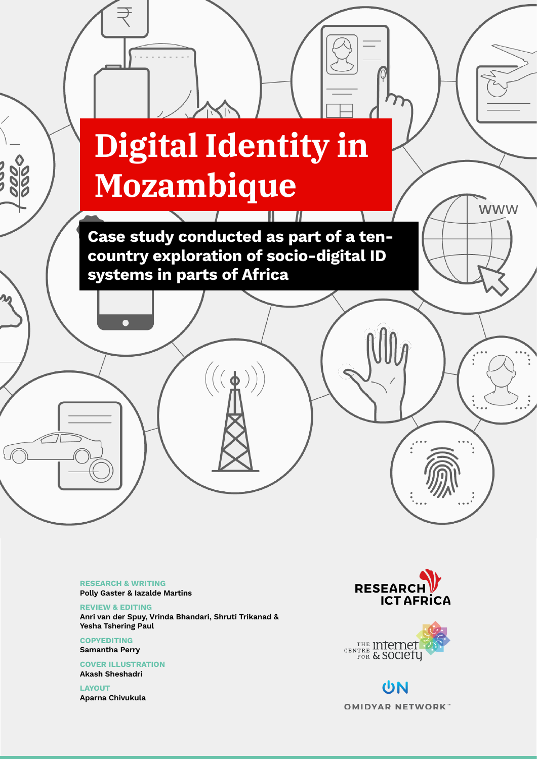

RESEARCH & WRITING Polly Gaster & Iazalde Martins

REVIEW & EDITING Anri van der Spuy, Vrinda Bhandari, Shruti Trikanad & Yesha Tshering Paul

**COPYEDITING** Samantha Perry

COVER ILLUSTRATION Akash Sheshadri

LAYOUT Aparna Chivukula





UN **OMIDYAR NETWORK**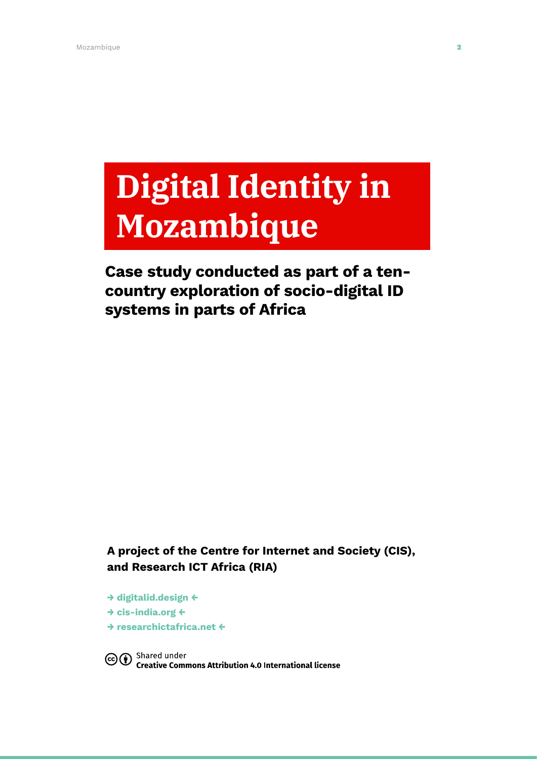# **Digital Identity in Mozambique**

# Case study conducted as part of a tencountry exploration of socio-digital ID systems in parts of Africa

A project of the Centre for Internet and Society (CIS), and Research ICT Africa (RIA)

→ [digitalid.design](http://digitalid.design) ← → [cis-india.org](http://cis-india.org) ← → [researchictafrica.net](http://researchictafrica.net) ←

CO <sup>Shared</sup> under<br>Commons Attribution 4.0 International license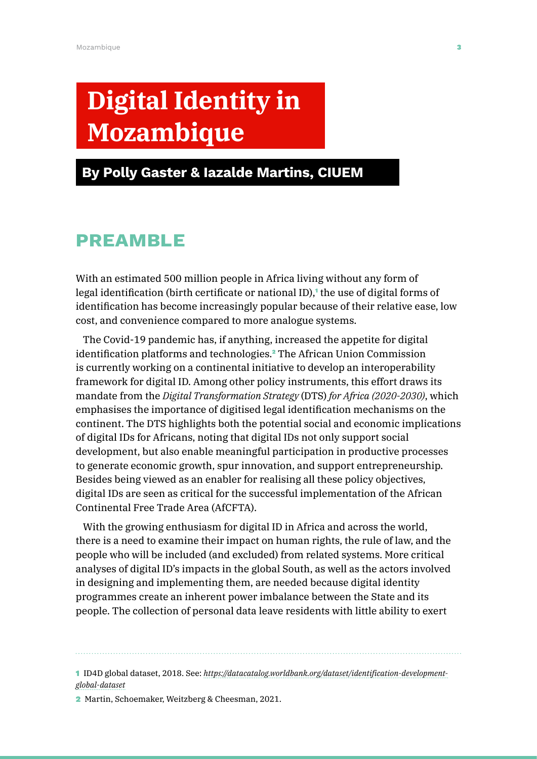# **Digital Identity in Mozambique**

# By Polly Gaster & Iazalde Martins, CIUEM

# Preamble

With an estimated 500 million people in Africa living without any form of legal identification (birth certificate or national ID),<sup>1</sup> the use of digital forms of identification has become increasingly popular because of their relative ease, low cost, and convenience compared to more analogue systems.

The Covid-19 pandemic has, if anything, increased the appetite for digital identification platforms and technologies.<sup>2</sup> The African Union Commission is currently working on a continental initiative to develop an interoperability framework for digital ID. Among other policy instruments, this effort draws its mandate from the *Digital Transformation Strategy* (DTS) *for Africa (2020-2030)*, which emphasises the importance of digitised legal identification mechanisms on the continent. The DTS highlights both the potential social and economic implications of digital IDs for Africans, noting that digital IDs not only support social development, but also enable meaningful participation in productive processes to generate economic growth, spur innovation, and support entrepreneurship. Besides being viewed as an enabler for realising all these policy objectives, digital IDs are seen as critical for the successful implementation of the African Continental Free Trade Area (AfCFTA).

With the growing enthusiasm for digital ID in Africa and across the world, there is a need to examine their impact on human rights, the rule of law, and the people who will be included (and excluded) from related systems. More critical analyses of digital ID's impacts in the global South, as well as the actors involved in designing and implementing them, are needed because digital identity programmes create an inherent power imbalance between the State and its people. The collection of personal data leave residents with little ability to exert

1 ID4D global dataset, 2018. See: *[https://datacatalog.worldbank.org/dataset/identification-development](https://datacatalog.worldbank.org/dataset/identification-development-global-dataset)[global-dataset](https://datacatalog.worldbank.org/dataset/identification-development-global-dataset)*

2 Martin, Schoemaker, Weitzberg & Cheesman, 2021.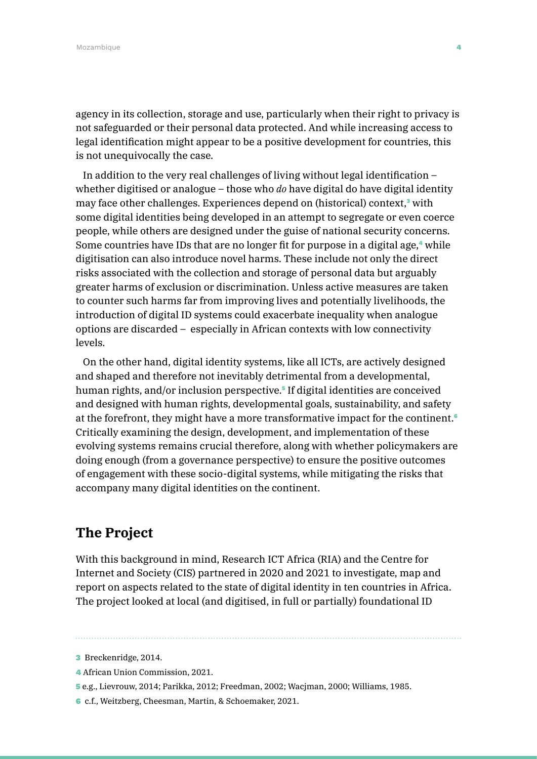agency in its collection, storage and use, particularly when their right to privacy is not safeguarded or their personal data protected. And while increasing access to legal identification might appear to be a positive development for countries, this is not unequivocally the case.

In addition to the very real challenges of living without legal identification – whether digitised or analogue – those who *do* have digital do have digital identity may face other challenges. Experiences depend on (historical) context,<sup>3</sup> with some digital identities being developed in an attempt to segregate or even coerce people, while others are designed under the guise of national security concerns. Some countries have IDs that are no longer fit for purpose in a digital age,<sup>4</sup> while digitisation can also introduce novel harms. These include not only the direct risks associated with the collection and storage of personal data but arguably greater harms of exclusion or discrimination. Unless active measures are taken to counter such harms far from improving lives and potentially livelihoods, the introduction of digital ID systems could exacerbate inequality when analogue options are discarded – especially in African contexts with low connectivity levels.

On the other hand, digital identity systems, like all ICTs, are actively designed and shaped and therefore not inevitably detrimental from a developmental, human rights, and/or inclusion perspective.<sup>5</sup> If digital identities are conceived and designed with human rights, developmental goals, sustainability, and safety at the forefront, they might have a more transformative impact for the continent.<sup>6</sup> Critically examining the design, development, and implementation of these evolving systems remains crucial therefore, along with whether policymakers are doing enough (from a governance perspective) to ensure the positive outcomes of engagement with these socio-digital systems, while mitigating the risks that accompany many digital identities on the continent.

## **The Project**

With this background in mind, Research ICT Africa (RIA) and the Centre for Internet and Society (CIS) partnered in 2020 and 2021 to investigate, map and report on aspects related to the state of digital identity in ten countries in Africa. The project looked at local (and digitised, in full or partially) foundational ID

- 4 African Union Commission, 2021.
- 5 e.g., Lievrouw, 2014; Parikka, 2012; Freedman, 2002; Wacjman, 2000; Williams, 1985.
- 6 c.f., Weitzberg, Cheesman, Martin, & Schoemaker, 2021.

<sup>3</sup> Breckenridge, 2014.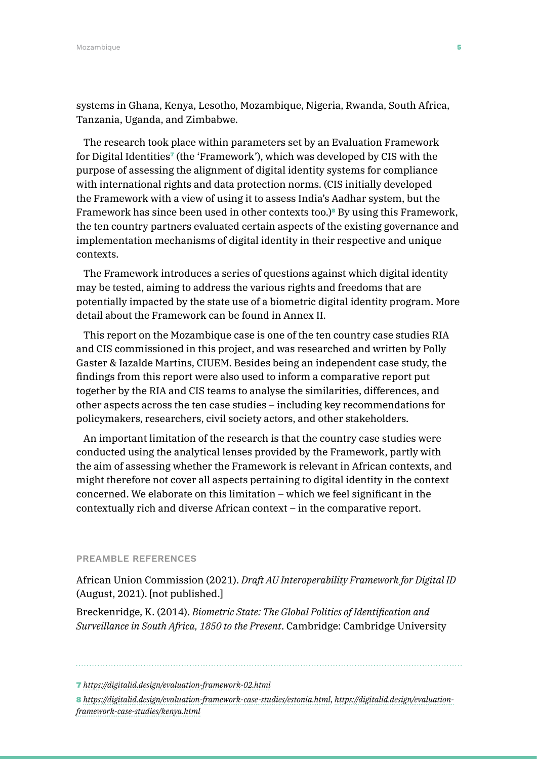systems in Ghana, Kenya, Lesotho, Mozambique, Nigeria, Rwanda, South Africa, Tanzania, Uganda, and Zimbabwe.

The research took place within parameters set by an Evaluation Framework for Digital Identities<sup> $\tau$ </sup> (the 'Framework'), which was developed by CIS with the purpose of assessing the alignment of digital identity systems for compliance with international rights and data protection norms. (CIS initially developed the Framework with a view of using it to assess India's Aadhar system, but the Framework has since been used in other contexts too.)<sup>8</sup> By using this Framework, the ten country partners evaluated certain aspects of the existing governance and implementation mechanisms of digital identity in their respective and unique contexts.

The Framework introduces a series of questions against which digital identity may be tested, aiming to address the various rights and freedoms that are potentially impacted by the state use of a biometric digital identity program. More detail about the Framework can be found in Annex II.

This report on the Mozambique case is one of the ten country case studies RIA and CIS commissioned in this project, and was researched and written by Polly Gaster & Iazalde Martins, CIUEM. Besides being an independent case study, the findings from this report were also used to inform a comparative report put together by the RIA and CIS teams to analyse the similarities, differences, and other aspects across the ten case studies – including key recommendations for policymakers, researchers, civil society actors, and other stakeholders.

An important limitation of the research is that the country case studies were conducted using the analytical lenses provided by the Framework, partly with the aim of assessing whether the Framework is relevant in African contexts, and might therefore not cover all aspects pertaining to digital identity in the context concerned. We elaborate on this limitation – which we feel significant in the contextually rich and diverse African context – in the comparative report.

#### PREAMBLE REFERENCES

African Union Commission (2021). *Draft AU Interoperability Framework for Digital ID* (August, 2021). [not published.]

Breckenridge, K. (2014). *Biometric State: The Global Politics of Identification and Surveillance in South Africa, 1850 to the Present*. Cambridge: Cambridge University

<sup>7</sup> *<https://digitalid.design/evaluation-framework-02.html>*

<sup>8</sup> *<https://digitalid.design/evaluation-framework-case-studies/estonia.html>*, *[https://digitalid.design/evaluation](https://digitalid.design/evaluation-framework-case-studies/kenya.html)[framework-case-studies/kenya.html](https://digitalid.design/evaluation-framework-case-studies/kenya.html)*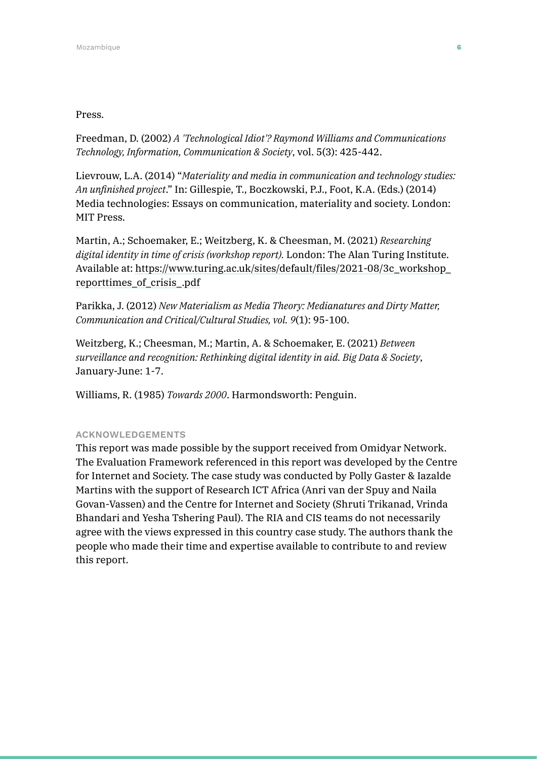#### Press.

Freedman, D. (2002) *A 'Technological Idiot'? Raymond Williams and Communications Technology, Information, Communication & Society*, vol. 5(3): 425-442.

Lievrouw, L.A. (2014) "*Materiality and media in communication and technology studies: An unfinished project*." In: Gillespie, T., Boczkowski, P.J., Foot, K.A. (Eds.) (2014) Media technologies: Essays on communication, materiality and society. London: MIT Press.

Martin, A.; Schoemaker, E.; Weitzberg, K. & Cheesman, M. (2021) *Researching digital identity in time of crisis (workshop report).* London: The Alan Turing Institute. Available at: https://www.turing.ac.uk/sites/default/files/2021-08/3c\_workshop\_ reporttimes\_of\_crisis\_.pdf

Parikka, J. (2012) *New Materialism as Media Theory: Medianatures and Dirty Matter, Communication and Critical/Cultural Studies, vol. 9*(1): 95-100.

Weitzberg, K.; Cheesman, M.; Martin, A. & Schoemaker, E. (2021) *Between surveillance and recognition: Rethinking digital identity in aid. Big Data & Society*, January-June: 1-7.

Williams, R. (1985) *Towards 2000*. Harmondsworth: Penguin.

#### ACKNOWLEDGEMENTS

This report was made possible by the support received from Omidyar Network. The Evaluation Framework referenced in this report was developed by the Centre for Internet and Society. The case study was conducted by Polly Gaster & Iazalde Martins with the support of Research ICT Africa (Anri van der Spuy and Naila Govan-Vassen) and the Centre for Internet and Society (Shruti Trikanad, Vrinda Bhandari and Yesha Tshering Paul). The RIA and CIS teams do not necessarily agree with the views expressed in this country case study. The authors thank the people who made their time and expertise available to contribute to and review this report.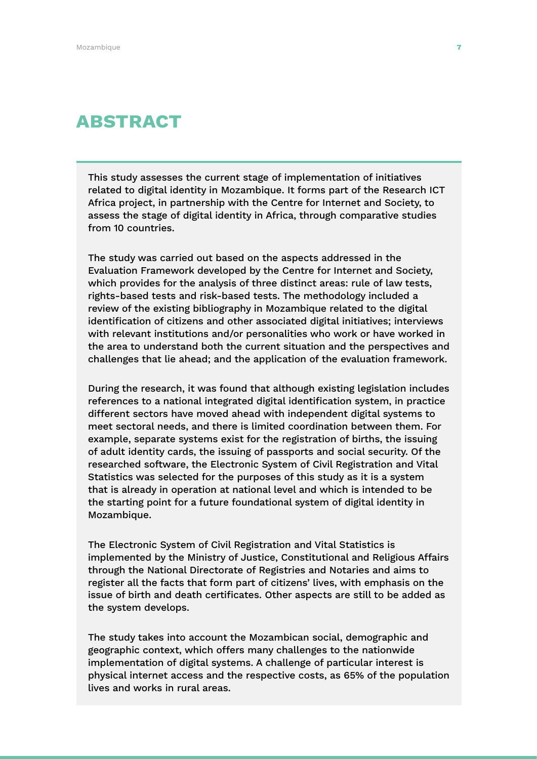# ABSTRACT

This study assesses the current stage of implementation of initiatives related to digital identity in Mozambique. It forms part of the Research ICT Africa project, in partnership with the Centre for Internet and Society, to assess the stage of digital identity in Africa, through comparative studies from 10 countries.

The study was carried out based on the aspects addressed in the Evaluation Framework developed by the Centre for Internet and Society, which provides for the analysis of three distinct areas: rule of law tests, rights-based tests and risk-based tests. The methodology included a review of the existing bibliography in Mozambique related to the digital identification of citizens and other associated digital initiatives; interviews with relevant institutions and/or personalities who work or have worked in the area to understand both the current situation and the perspectives and challenges that lie ahead; and the application of the evaluation framework.

During the research, it was found that although existing legislation includes references to a national integrated digital identification system, in practice different sectors have moved ahead with independent digital systems to meet sectoral needs, and there is limited coordination between them. For example, separate systems exist for the registration of births, the issuing of adult identity cards, the issuing of passports and social security. Of the researched software, the Electronic System of Civil Registration and Vital Statistics was selected for the purposes of this study as it is a system that is already in operation at national level and which is intended to be the starting point for a future foundational system of digital identity in Mozambique.

The Electronic System of Civil Registration and Vital Statistics is implemented by the Ministry of Justice, Constitutional and Religious Affairs through the National Directorate of Registries and Notaries and aims to register all the facts that form part of citizens' lives, with emphasis on the issue of birth and death certificates. Other aspects are still to be added as the system develops.

The study takes into account the Mozambican social, demographic and geographic context, which offers many challenges to the nationwide implementation of digital systems. A challenge of particular interest is physical internet access and the respective costs, as 65% of the population lives and works in rural areas.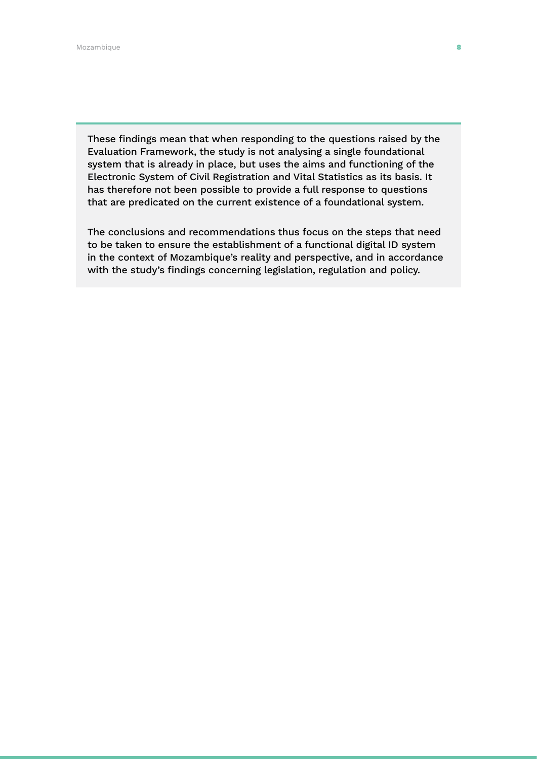These findings mean that when responding to the questions raised by the Evaluation Framework, the study is not analysing a single foundational system that is already in place, but uses the aims and functioning of the Electronic System of Civil Registration and Vital Statistics as its basis. It has therefore not been possible to provide a full response to questions that are predicated on the current existence of a foundational system.

The conclusions and recommendations thus focus on the steps that need to be taken to ensure the establishment of a functional digital ID system in the context of Mozambique's reality and perspective, and in accordance with the study's findings concerning legislation, regulation and policy.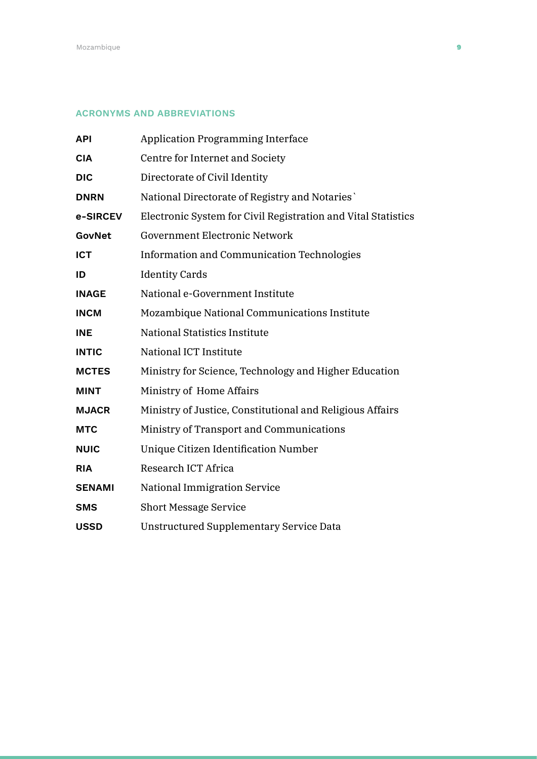#### ACRONYMS AND ABBREVIATIONS

| <b>API</b>    | <b>Application Programming Interface</b>                      |
|---------------|---------------------------------------------------------------|
| <b>CIA</b>    | Centre for Internet and Society                               |
| <b>DIC</b>    | Directorate of Civil Identity                                 |
| <b>DNRN</b>   | National Directorate of Registry and Notaries                 |
| e-SIRCEV      | Electronic System for Civil Registration and Vital Statistics |
| GovNet        | <b>Government Electronic Network</b>                          |
| <b>ICT</b>    | <b>Information and Communication Technologies</b>             |
| ID            | <b>Identity Cards</b>                                         |
| <b>INAGE</b>  | National e-Government Institute                               |
| <b>INCM</b>   | Mozambique National Communications Institute                  |
| <b>INE</b>    | <b>National Statistics Institute</b>                          |
| <b>INTIC</b>  | National ICT Institute                                        |
| <b>MCTES</b>  | Ministry for Science, Technology and Higher Education         |
| <b>MINT</b>   | Ministry of Home Affairs                                      |
| <b>MJACR</b>  | Ministry of Justice, Constitutional and Religious Affairs     |
| <b>MTC</b>    | Ministry of Transport and Communications                      |
| <b>NUIC</b>   | Unique Citizen Identification Number                          |
| <b>RIA</b>    | Research ICT Africa                                           |
| <b>SENAMI</b> | <b>National Immigration Service</b>                           |
| <b>SMS</b>    | <b>Short Message Service</b>                                  |
| <b>USSD</b>   | <b>Unstructured Supplementary Service Data</b>                |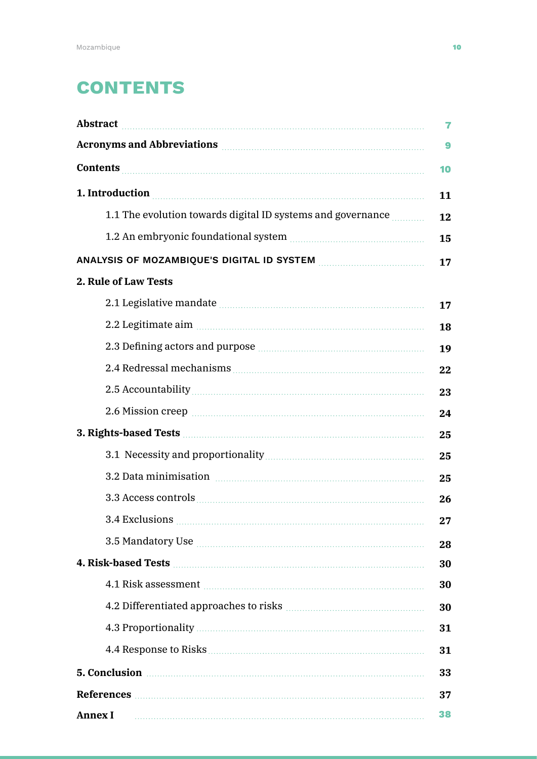# **CONTENTS**

| Abstract <b>Executive Constructs</b>                                                                                                                                                                                                                                                                                   | 7  |
|------------------------------------------------------------------------------------------------------------------------------------------------------------------------------------------------------------------------------------------------------------------------------------------------------------------------|----|
| Acronyms and Abbreviations <b>Executive Services</b> and Abbreviations                                                                                                                                                                                                                                                 | 9  |
| <b>Contents</b>                                                                                                                                                                                                                                                                                                        | 10 |
| 1. Introduction                                                                                                                                                                                                                                                                                                        | 11 |
| 1.1 The evolution towards digital ID systems and governance <i>mannes</i>                                                                                                                                                                                                                                              | 12 |
| 1.2 An embryonic foundational system manufactured and states and system manufactured and states are all the states and states are states and states are states and states are states and states are states and states are stat                                                                                         | 15 |
| ANALYSIS OF MOZAMBIQUE'S DIGITAL ID SYSTEM MARRET AND MALYSIS OF MOZAMBIQUE'S DIGITAL ID SYSTEM                                                                                                                                                                                                                        | 17 |
| 2. Rule of Law Tests                                                                                                                                                                                                                                                                                                   |    |
|                                                                                                                                                                                                                                                                                                                        | 17 |
| 2.2 Legitimate aim material continuum and all and all and all and all and all and all and all and all and all a                                                                                                                                                                                                        | 18 |
| 2.3 Defining actors and purpose <i>manual continuum continuum continuum</i> continuum continuum continuum continuum co                                                                                                                                                                                                 | 19 |
|                                                                                                                                                                                                                                                                                                                        | 22 |
|                                                                                                                                                                                                                                                                                                                        | 23 |
| 2.6 Mission creep <b>contracts</b> and the set of the set of the set of the set of the set of the set of the set of the set of the set of the set of the set of the set of the set of the set of the set of the set of the set of t                                                                                    | 24 |
|                                                                                                                                                                                                                                                                                                                        |    |
|                                                                                                                                                                                                                                                                                                                        | 25 |
| 3.2 Data minimisation manufactured and all parameters and all particles and all particles and all particles and all particles and all particles and all particles and all particles and all particles and all particles and al                                                                                         | 25 |
|                                                                                                                                                                                                                                                                                                                        | 26 |
| 3.4 Exclusions                                                                                                                                                                                                                                                                                                         | 27 |
| 3.5 Mandatory Use Manual Manual Manual Manual Manual Manual Manual Manual Manual Manual Manual Manual Manual M                                                                                                                                                                                                         | 28 |
|                                                                                                                                                                                                                                                                                                                        | 30 |
| 4.1 Risk assessment <b>Manual</b> Manual Manual Manual Manual Manual Manual Manual Manual Manual Manual Manual Manual Ma                                                                                                                                                                                               | 30 |
|                                                                                                                                                                                                                                                                                                                        | 30 |
|                                                                                                                                                                                                                                                                                                                        | 31 |
|                                                                                                                                                                                                                                                                                                                        | 31 |
| 5. Conclusion <b>Executive Conclusion 5.</b> Conclusion <b>6.</b> 2010 <b>6.</b> 2010 <b>6.</b> 2010 <b>6.</b> 2010 <b>6.</b> 2010 <b>6.</b> 2010 <b>6.</b> 2010 <b>6.</b> 2010 <b>6.</b> 2010 <b>6.</b> 2010 <b>6.</b> 2010 <b>6.</b> 2010 <b>6.</b> 2010 <b>6.</b> 2010 <b>6.</b> 2010 <b>6.</b> 2010 <b>6.</b> 2010 | 33 |
| References <b>Manual Communities</b> and the contract of the contract of the contract of the contract of the contract of the contract of the contract of the contract of the contract of the contract of the contract of the contra                                                                                    | 37 |
| <b>Annex I</b>                                                                                                                                                                                                                                                                                                         | 38 |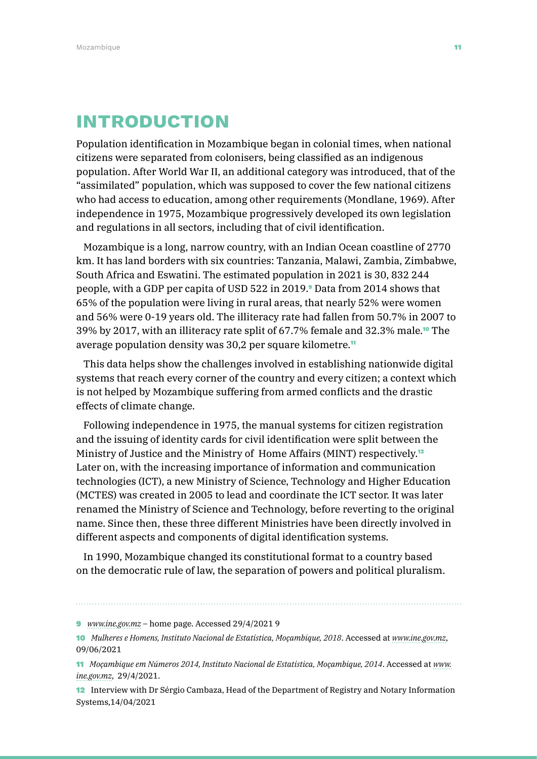# INTRODUCTION

Population identification in Mozambique began in colonial times, when national citizens were separated from colonisers, being classified as an indigenous population. After World War II, an additional category was introduced, that of the "assimilated" population, which was supposed to cover the few national citizens who had access to education, among other requirements (Mondlane, 1969). After independence in 1975, Mozambique progressively developed its own legislation and regulations in all sectors, including that of civil identification.

Mozambique is a long, narrow country, with an Indian Ocean coastline of 2770 km. It has land borders with six countries: Tanzania, Malawi, Zambia, Zimbabwe, South Africa and Eswatini. The estimated population in 2021 is 30, 832 244 people, with a GDP per capita of USD 522 in 2019.9 Data from 2014 shows that 65% of the population were living in rural areas, that nearly 52% were women and 56% were 0-19 years old. The illiteracy rate had fallen from 50.7% in 2007 to 39% by 2017, with an illiteracy rate split of 67.7% female and 32.3% male.10 The average population density was 30,2 per square kilometre.<sup>11</sup>

This data helps show the challenges involved in establishing nationwide digital systems that reach every corner of the country and every citizen; a context which is not helped by Mozambique suffering from armed conflicts and the drastic effects of climate change.

Following independence in 1975, the manual systems for citizen registration and the issuing of identity cards for civil identification were split between the Ministry of Justice and the Ministry of Home Affairs (MINT) respectively.<sup>12</sup> Later on, with the increasing importance of information and communication technologies (ICT), a new Ministry of Science, Technology and Higher Education (MCTES) was created in 2005 to lead and coordinate the ICT sector. It was later renamed the Ministry of Science and Technology, before reverting to the original name. Since then, these three different Ministries have been directly involved in different aspects and components of digital identification systems.

In 1990, Mozambique changed its constitutional format to a country based on the democratic rule of law, the separation of powers and political pluralism.

<sup>9</sup> *[www.ine.gov.mz](http://www.ine.gov.mz)* – home page. Accessed 29/4/2021 9

<sup>10</sup> *Mulheres e Homens, Instituto Nacional de Estatística, Moçambique, 2018*. Accessed at *[www.ine.gov.mz](http://www.ine.gov.mz)*, 09/06/2021

<sup>11</sup> *Moçambique em Números 2014, Instituto Nacional de Estatística, Moçambique, 2014*. Accessed at *[www.](http://www.ine.gov.mz) [ine.gov.mz](http://www.ine.gov.mz)*, 29/4/2021.

<sup>12</sup> Interview with Dr Sérgio Cambaza, Head of the Department of Registry and Notary Information Systems,14/04/2021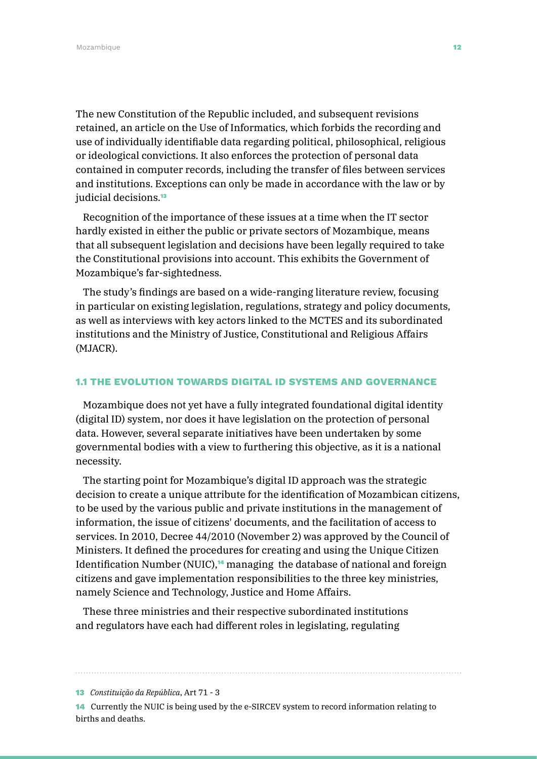The new Constitution of the Republic included, and subsequent revisions retained, an article on the Use of Informatics, which forbids the recording and use of individually identifiable data regarding political, philosophical, religious or ideological convictions. It also enforces the protection of personal data contained in computer records, including the transfer of files between services and institutions. Exceptions can only be made in accordance with the law or by judicial decisions.<sup>13</sup>

Recognition of the importance of these issues at a time when the IT sector hardly existed in either the public or private sectors of Mozambique, means that all subsequent legislation and decisions have been legally required to take the Constitutional provisions into account. This exhibits the Government of Mozambique's far-sightedness.

The study's findings are based on a wide-ranging literature review, focusing in particular on existing legislation, regulations, strategy and policy documents, as well as interviews with key actors linked to the MCTES and its subordinated institutions and the Ministry of Justice, Constitutional and Religious Affairs (MJACR).

#### 1.1 THE EVOLUTION TOWARDS DIGITAL ID SYSTEMS AND GOVERNANCE

Mozambique does not yet have a fully integrated foundational digital identity (digital ID) system, nor does it have legislation on the protection of personal data. However, several separate initiatives have been undertaken by some governmental bodies with a view to furthering this objective, as it is a national necessity.

The starting point for Mozambique's digital ID approach was the strategic decision to create a unique attribute for the identification of Mozambican citizens, to be used by the various public and private institutions in the management of information, the issue of citizens' documents, and the facilitation of access to services. In 2010, Decree 44/2010 (November 2) was approved by the Council of Ministers. It defined the procedures for creating and using the Unique Citizen Identification Number (NUIC),<sup>14</sup> managing the database of national and foreign citizens and gave implementation responsibilities to the three key ministries, namely Science and Technology, Justice and Home Affairs.

These three ministries and their respective subordinated institutions and regulators have each had different roles in legislating, regulating

13 *Constituição da República*, Art 71 - 3

14 Currently the NUIC is being used by the e-SIRCEV system to record information relating to births and deaths.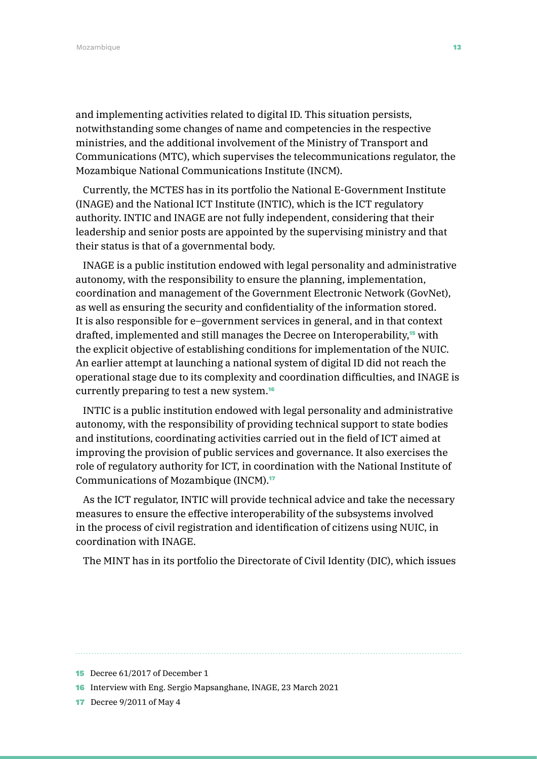and implementing activities related to digital ID. This situation persists, notwithstanding some changes of name and competencies in the respective ministries, and the additional involvement of the Ministry of Transport and Communications (MTC), which supervises the telecommunications regulator, the Mozambique National Communications Institute (INCM).

Currently, the MCTES has in its portfolio the National E-Government Institute (INAGE) and the National ICT Institute (INTIC), which is the ICT regulatory authority. INTIC and INAGE are not fully independent, considering that their leadership and senior posts are appointed by the supervising ministry and that their status is that of a governmental body.

INAGE is a public institution endowed with legal personality and administrative autonomy, with the responsibility to ensure the planning, implementation, coordination and management of the Government Electronic Network (GovNet), as well as ensuring the security and confidentiality of the information stored. It is also responsible for e–government services in general, and in that context drafted, implemented and still manages the Decree on Interoperability,15 with the explicit objective of establishing conditions for implementation of the NUIC. An earlier attempt at launching a national system of digital ID did not reach the operational stage due to its complexity and coordination difficulties, and INAGE is currently preparing to test a new system.<sup>16</sup>

INTIC is a public institution endowed with legal personality and administrative autonomy, with the responsibility of providing technical support to state bodies and institutions, coordinating activities carried out in the field of ICT aimed at improving the provision of public services and governance. It also exercises the role of regulatory authority for ICT, in coordination with the National Institute of Communications of Mozambique (INCM).<sup>17</sup>

As the ICT regulator, INTIC will provide technical advice and take the necessary measures to ensure the effective interoperability of the subsystems involved in the process of civil registration and identification of citizens using NUIC, in coordination with INAGE.

The MINT has in its portfolio the Directorate of Civil Identity (DIC), which issues

<sup>15</sup> Decree 61/2017 of December 1

<sup>16</sup> Interview with Eng. Sergio Mapsanghane, INAGE, 23 March 2021

<sup>17</sup> Decree 9/2011 of May 4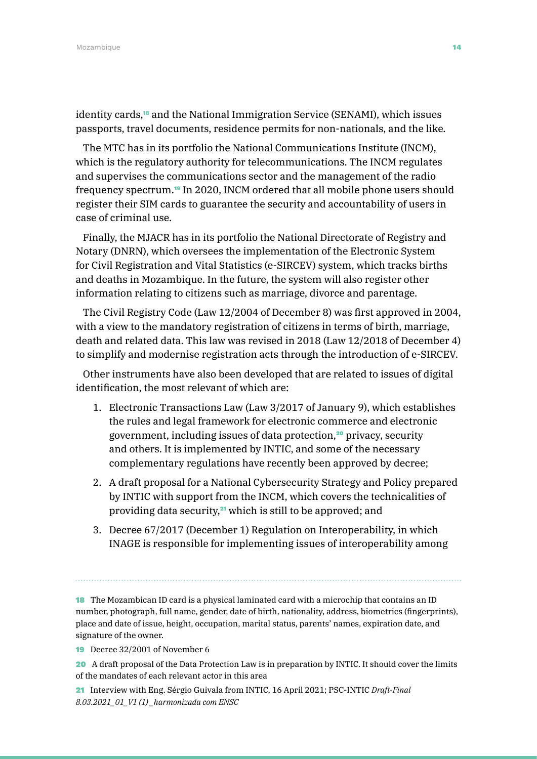identity cards,18 and the National Immigration Service (SENAMI), which issues passports, travel documents, residence permits for non-nationals, and the like.

The MTC has in its portfolio the National Communications Institute (INCM), which is the regulatory authority for telecommunications. The INCM regulates and supervises the communications sector and the management of the radio frequency spectrum.19 In 2020, INCM ordered that all mobile phone users should register their SIM cards to guarantee the security and accountability of users in case of criminal use.

Finally, the MJACR has in its portfolio the National Directorate of Registry and Notary (DNRN), which oversees the implementation of the Electronic System for Civil Registration and Vital Statistics (e-SIRCEV) system, which tracks births and deaths in Mozambique. In the future, the system will also register other information relating to citizens such as marriage, divorce and parentage.

The Civil Registry Code (Law 12/2004 of December 8) was first approved in 2004, with a view to the mandatory registration of citizens in terms of birth, marriage, death and related data. This law was revised in 2018 (Law 12/2018 of December 4) to simplify and modernise registration acts through the introduction of e-SIRCEV.

Other instruments have also been developed that are related to issues of digital identification, the most relevant of which are:

- 1. Electronic Transactions Law (Law 3/2017 of January 9), which establishes the rules and legal framework for electronic commerce and electronic government, including issues of data protection,<sup>20</sup> privacy, security and others. It is implemented by INTIC, and some of the necessary complementary regulations have recently been approved by decree;
- 2. A draft proposal for a National Cybersecurity Strategy and Policy prepared by INTIC with support from the INCM, which covers the technicalities of providing data security,<sup>21</sup> which is still to be approved; and
- 3. Decree 67/2017 (December 1) Regulation on Interoperability, in which INAGE is responsible for implementing issues of interoperability among

18 The Mozambican ID card is a physical laminated card with a microchip that contains an ID number, photograph, full name, gender, date of birth, nationality, address, biometrics (fingerprints), place and date of issue, height, occupation, marital status, parents' names, expiration date, and signature of the owner.

19 Decree 32/2001 of November 6

20 A draft proposal of the Data Protection Law is in preparation by INTIC. It should cover the limits of the mandates of each relevant actor in this area

21 Interview with Eng. Sérgio Guivala from INTIC, 16 April 2021; PSC-INTIC *Draft-Final 8.03.2021\_01\_V1 (1) \_harmonizada com ENSC*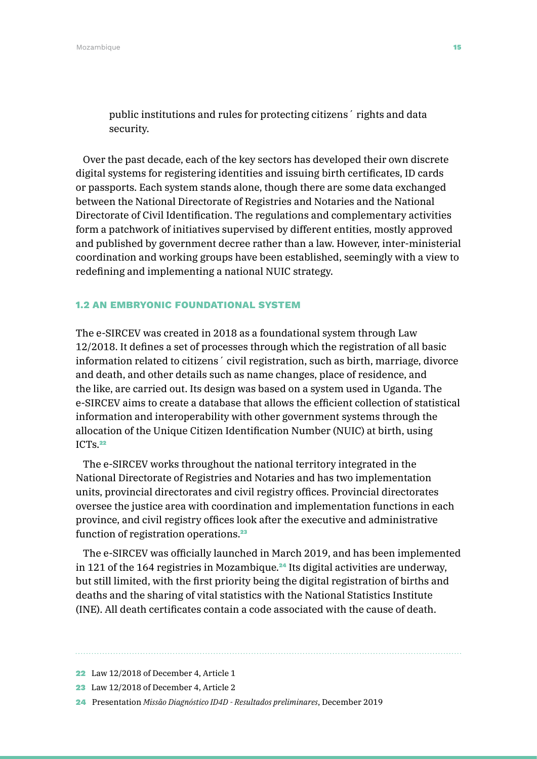public institutions and rules for protecting citizens´ rights and data security.

Over the past decade, each of the key sectors has developed their own discrete digital systems for registering identities and issuing birth certificates, ID cards or passports. Each system stands alone, though there are some data exchanged between the National Directorate of Registries and Notaries and the National Directorate of Civil Identification. The regulations and complementary activities form a patchwork of initiatives supervised by different entities, mostly approved and published by government decree rather than a law. However, inter-ministerial coordination and working groups have been established, seemingly with a view to redefining and implementing a national NUIC strategy.

#### 1.2 AN EMBRYONIC FOUNDATIONAL SYSTEM

The e-SIRCEV was created in 2018 as a foundational system through Law 12/2018. It defines a set of processes through which the registration of all basic information related to citizens´ civil registration, such as birth, marriage, divorce and death, and other details such as name changes, place of residence, and the like, are carried out. Its design was based on a system used in Uganda. The e-SIRCEV aims to create a database that allows the efficient collection of statistical information and interoperability with other government systems through the allocation of the Unique Citizen Identification Number (NUIC) at birth, using ICTs.<sup>22</sup>

The e-SIRCEV works throughout the national territory integrated in the National Directorate of Registries and Notaries and has two implementation units, provincial directorates and civil registry offices. Provincial directorates oversee the justice area with coordination and implementation functions in each province, and civil registry offices look after the executive and administrative function of registration operations.<sup>23</sup>

The e-SIRCEV was officially launched in March 2019, and has been implemented in 121 of the 164 registries in Mozambique.24 Its digital activities are underway, but still limited, with the first priority being the digital registration of births and deaths and the sharing of vital statistics with the National Statistics Institute (INE). All death certificates contain a code associated with the cause of death.

23 Law 12/2018 of December 4, Article 2

24 Presentation *Missão Diagnóstico ID4D - Resultados preliminares*, December 2019

<sup>22</sup> Law 12/2018 of December 4, Article 1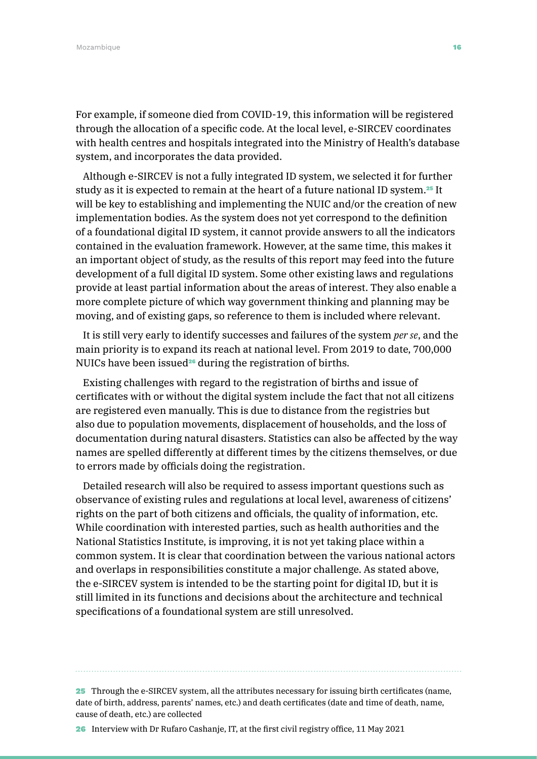For example, if someone died from COVID-19, this information will be registered through the allocation of a specific code. At the local level, e-SIRCEV coordinates with health centres and hospitals integrated into the Ministry of Health's database system, and incorporates the data provided.

Although e-SIRCEV is not a fully integrated ID system, we selected it for further study as it is expected to remain at the heart of a future national ID system.<sup>25</sup> It will be key to establishing and implementing the NUIC and/or the creation of new implementation bodies. As the system does not yet correspond to the definition of a foundational digital ID system, it cannot provide answers to all the indicators contained in the evaluation framework. However, at the same time, this makes it an important object of study, as the results of this report may feed into the future development of a full digital ID system. Some other existing laws and regulations provide at least partial information about the areas of interest. They also enable a more complete picture of which way government thinking and planning may be moving, and of existing gaps, so reference to them is included where relevant.

It is still very early to identify successes and failures of the system *per se*, and the main priority is to expand its reach at national level. From 2019 to date, 700,000 NUICs have been issued<sup>26</sup> during the registration of births.

Existing challenges with regard to the registration of births and issue of certificates with or without the digital system include the fact that not all citizens are registered even manually. This is due to distance from the registries but also due to population movements, displacement of households, and the loss of documentation during natural disasters. Statistics can also be affected by the way names are spelled differently at different times by the citizens themselves, or due to errors made by officials doing the registration.

Detailed research will also be required to assess important questions such as observance of existing rules and regulations at local level, awareness of citizens' rights on the part of both citizens and officials, the quality of information, etc. While coordination with interested parties, such as health authorities and the National Statistics Institute, is improving, it is not yet taking place within a common system. It is clear that coordination between the various national actors and overlaps in responsibilities constitute a major challenge. As stated above, the e-SIRCEV system is intended to be the starting point for digital ID, but it is still limited in its functions and decisions about the architecture and technical specifications of a foundational system are still unresolved.

25 Through the e-SIRCEV system, all the attributes necessary for issuing birth certificates (name, date of birth, address, parents' names, etc.) and death certificates (date and time of death, name, cause of death, etc.) are collected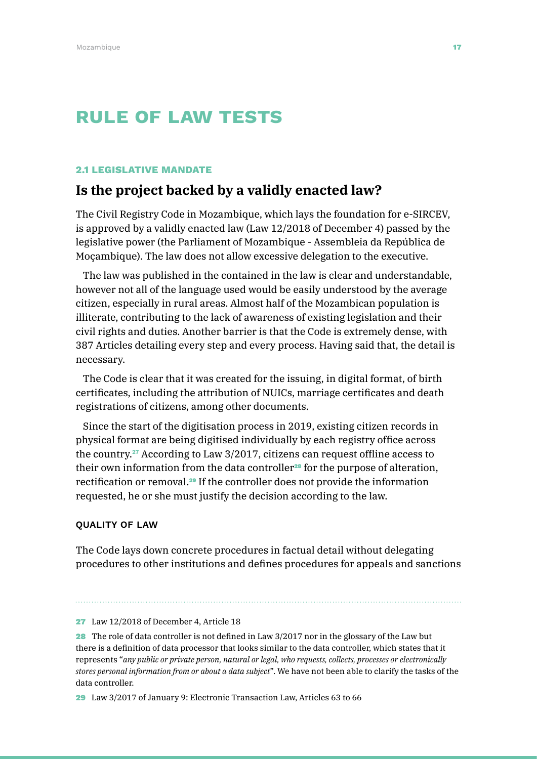# RULE OF LAW TESTS

#### 2.1 LEGISLATIVE MANDATE

### **Is the project backed by a validly enacted law?**

The Civil Registry Code in Mozambique, which lays the foundation for e-SIRCEV, is approved by a validly enacted law (Law 12/2018 of December 4) passed by the legislative power (the Parliament of Mozambique - Assembleia da República de Moçambique). The law does not allow excessive delegation to the executive.

The law was published in the contained in the law is clear and understandable, however not all of the language used would be easily understood by the average citizen, especially in rural areas. Almost half of the Mozambican population is illiterate, contributing to the lack of awareness of existing legislation and their civil rights and duties. Another barrier is that the Code is extremely dense, with 387 Articles detailing every step and every process. Having said that, the detail is necessary.

The Code is clear that it was created for the issuing, in digital format, of birth certificates, including the attribution of NUICs, marriage certificates and death registrations of citizens, among other documents.

Since the start of the digitisation process in 2019, existing citizen records in physical format are being digitised individually by each registry office across the country.27 According to Law 3/2017, citizens can request offline access to their own information from the data controller<sup>28</sup> for the purpose of alteration, rectification or removal.29 If the controller does not provide the information requested, he or she must justify the decision according to the law.

#### QUALITY OF LAW

The Code lays down concrete procedures in factual detail without delegating procedures to other institutions and defines procedures for appeals and sanctions

<sup>27</sup> Law 12/2018 of December 4, Article 18

<sup>28</sup> The role of data controller is not defined in Law 3/2017 nor in the glossary of the Law but there is a definition of data processor that looks similar to the data controller, which states that it represents "*any public or private person, natural or legal, who requests, collects, processes or electronically stores personal information from or about a data subject*". We have not been able to clarify the tasks of the data controller.

<sup>29</sup> Law 3/2017 of January 9: Electronic Transaction Law, Articles 63 to 66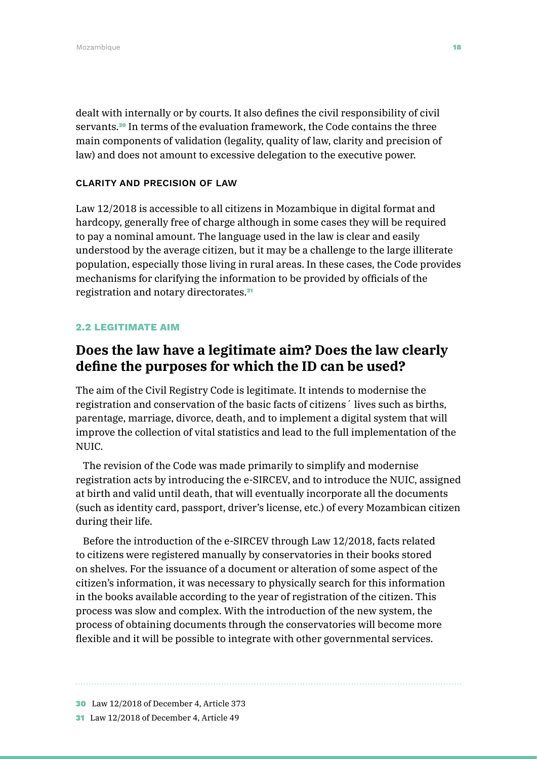dealt with internally or by courts. It also defines the civil responsibility of civil servants.<sup>30</sup> In terms of the evaluation framework, the Code contains the three main components of validation (legality, quality of law, clarity and precision of law) and does not amount to excessive delegation to the executive power.

#### CLARITY AND PRECISION OF LAW

Law 12/2018 is accessible to all citizens in Mozambique in digital format and hardcopy, generally free of charge although in some cases they will be required to pay a nominal amount. The language used in the law is clear and easily understood by the average citizen, but it may be a challenge to the large illiterate population, especially those living in rural areas. In these cases, the Code provides mechanisms for clarifying the information to be provided by officials of the registration and notary directorates.<sup>31</sup>

#### 2.2 LEGITIMATE AIM

### **Does the law have a legitimate aim? Does the law clearly define the purposes for which the ID can be used?**

The aim of the Civil Registry Code is legitimate. It intends to modernise the registration and conservation of the basic facts of citizens´ lives such as births, parentage, marriage, divorce, death, and to implement a digital system that will improve the collection of vital statistics and lead to the full implementation of the NUIC.

The revision of the Code was made primarily to simplify and modernise registration acts by introducing the e-SIRCEV, and to introduce the NUIC, assigned at birth and valid until death, that will eventually incorporate all the documents (such as identity card, passport, driver's license, etc.) of every Mozambican citizen during their life.

Before the introduction of the e-SIRCEV through Law 12/2018, facts related to citizens were registered manually by conservatories in their books stored on shelves. For the issuance of a document or alteration of some aspect of the citizen's information, it was necessary to physically search for this information in the books available according to the year of registration of the citizen. This process was slow and complex. With the introduction of the new system, the process of obtaining documents through the conservatories will become more flexible and it will be possible to integrate with other governmental services.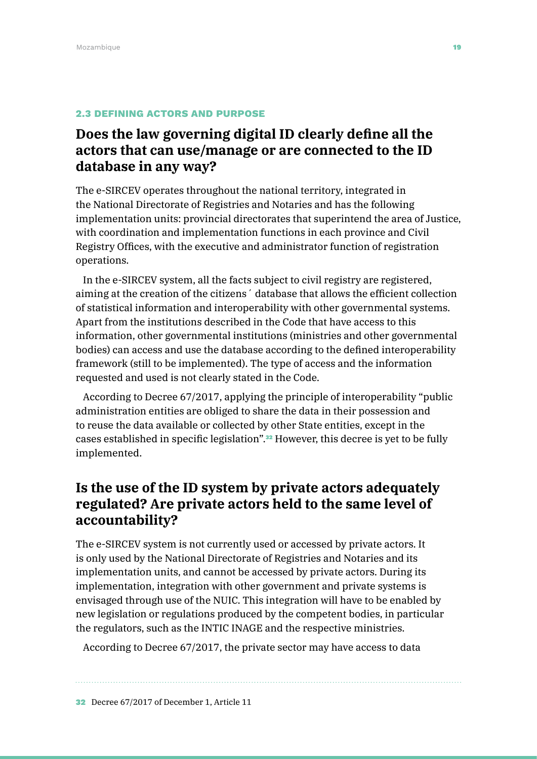#### 2.3 DEFINING ACTORS AND PURPOSE

# **Does the law governing digital ID clearly define all the actors that can use/manage or are connected to the ID database in any way?**

The e-SIRCEV operates throughout the national territory, integrated in the National Directorate of Registries and Notaries and has the following implementation units: provincial directorates that superintend the area of Justice, with coordination and implementation functions in each province and Civil Registry Offices, with the executive and administrator function of registration operations.

In the e-SIRCEV system, all the facts subject to civil registry are registered, aiming at the creation of the citizens´ database that allows the efficient collection of statistical information and interoperability with other governmental systems. Apart from the institutions described in the Code that have access to this information, other governmental institutions (ministries and other governmental bodies) can access and use the database according to the defined interoperability framework (still to be implemented). The type of access and the information requested and used is not clearly stated in the Code.

According to Decree 67/2017, applying the principle of interoperability "public administration entities are obliged to share the data in their possession and to reuse the data available or collected by other State entities, except in the cases established in specific legislation".32 However, this decree is yet to be fully implemented.

# **Is the use of the ID system by private actors adequately regulated? Are private actors held to the same level of accountability?**

The e-SIRCEV system is not currently used or accessed by private actors. It is only used by the National Directorate of Registries and Notaries and its implementation units, and cannot be accessed by private actors. During its implementation, integration with other government and private systems is envisaged through use of the NUIC. This integration will have to be enabled by new legislation or regulations produced by the competent bodies, in particular the regulators, such as the INTIC INAGE and the respective ministries.

According to Decree 67/2017, the private sector may have access to data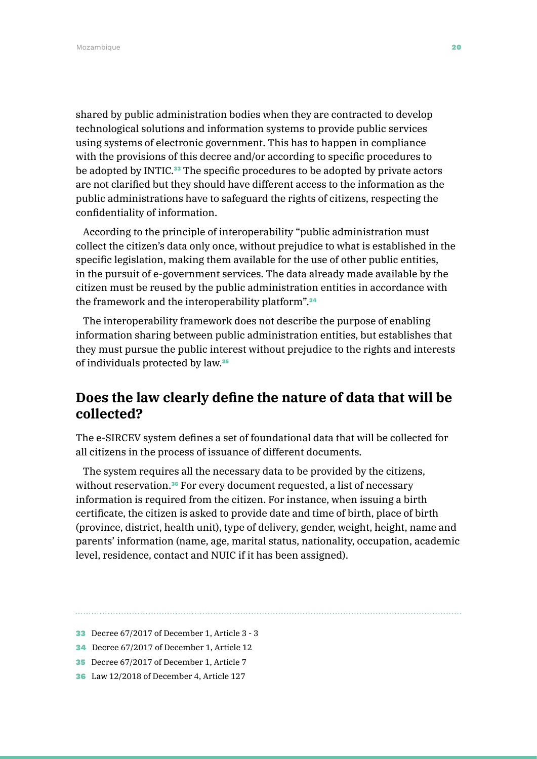shared by public administration bodies when they are contracted to develop technological solutions and information systems to provide public services using systems of electronic government. This has to happen in compliance with the provisions of this decree and/or according to specific procedures to be adopted by INTIC.<sup>33</sup> The specific procedures to be adopted by private actors are not clarified but they should have different access to the information as the public administrations have to safeguard the rights of citizens, respecting the confidentiality of information.

According to the principle of interoperability "public administration must collect the citizen's data only once, without prejudice to what is established in the specific legislation, making them available for the use of other public entities, in the pursuit of e-government services. The data already made available by the citizen must be reused by the public administration entities in accordance with the framework and the interoperability platform".<sup>34</sup>

The interoperability framework does not describe the purpose of enabling information sharing between public administration entities, but establishes that they must pursue the public interest without prejudice to the rights and interests of individuals protected by law.<sup>35</sup>

## **Does the law clearly define the nature of data that will be collected?**

The e-SIRCEV system defines a set of foundational data that will be collected for all citizens in the process of issuance of different documents.

The system requires all the necessary data to be provided by the citizens, without reservation.<sup>36</sup> For every document requested, a list of necessary information is required from the citizen. For instance, when issuing a birth certificate, the citizen is asked to provide date and time of birth, place of birth (province, district, health unit), type of delivery, gender, weight, height, name and parents' information (name, age, marital status, nationality, occupation, academic level, residence, contact and NUIC if it has been assigned).

- 33 Decree 67/2017 of December 1, Article 3 3
- 34 Decree 67/2017 of December 1, Article 12
- 35 Decree 67/2017 of December 1, Article 7
- 36 Law 12/2018 of December 4, Article 127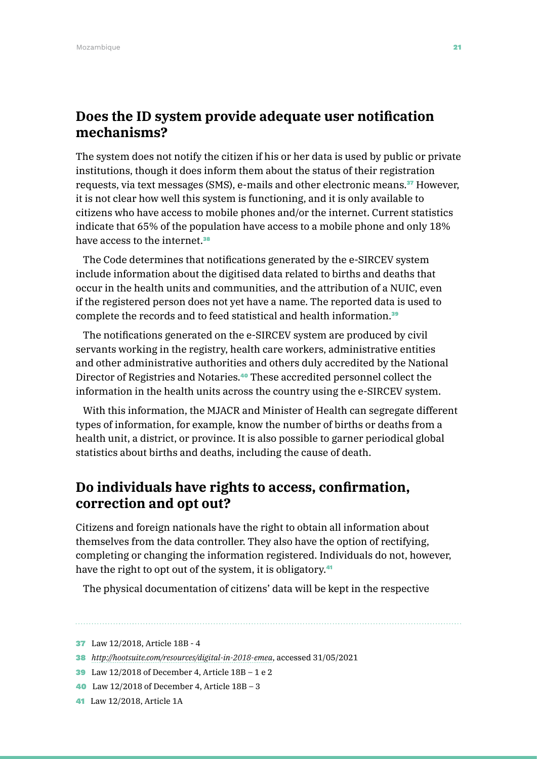### **Does the ID system provide adequate user notification mechanisms?**

The system does not notify the citizen if his or her data is used by public or private institutions, though it does inform them about the status of their registration requests, via text messages (SMS), e-mails and other electronic means.37 However, it is not clear how well this system is functioning, and it is only available to citizens who have access to mobile phones and/or the internet. Current statistics indicate that 65% of the population have access to a mobile phone and only 18% have access to the internet.<sup>38</sup>

The Code determines that notifications generated by the e-SIRCEV system include information about the digitised data related to births and deaths that occur in the health units and communities, and the attribution of a NUIC, even if the registered person does not yet have a name. The reported data is used to complete the records and to feed statistical and health information.<sup>39</sup>

The notifications generated on the e-SIRCEV system are produced by civil servants working in the registry, health care workers, administrative entities and other administrative authorities and others duly accredited by the National Director of Registries and Notaries.40 These accredited personnel collect the information in the health units across the country using the e-SIRCEV system.

With this information, the MJACR and Minister of Health can segregate different types of information, for example, know the number of births or deaths from a health unit, a district, or province. It is also possible to garner periodical global statistics about births and deaths, including the cause of death.

# **Do individuals have rights to access, confirmation, correction and opt out?**

Citizens and foreign nationals have the right to obtain all information about themselves from the data controller. They also have the option of rectifying, completing or changing the information registered. Individuals do not, however, have the right to opt out of the system, it is obligatory.<sup>41</sup>

The physical documentation of citizens' data will be kept in the respective

37 Law 12/2018, Article 18B - 4

<sup>38</sup> *<http://hootsuite.com/resources/digital-in-2018-emea>*, accessed 31/05/2021

<sup>39</sup> Law 12/2018 of December 4, Article 18B – 1 e 2

<sup>40</sup> Law 12/2018 of December 4, Article 18B – 3

<sup>41</sup> Law 12/2018, Article 1A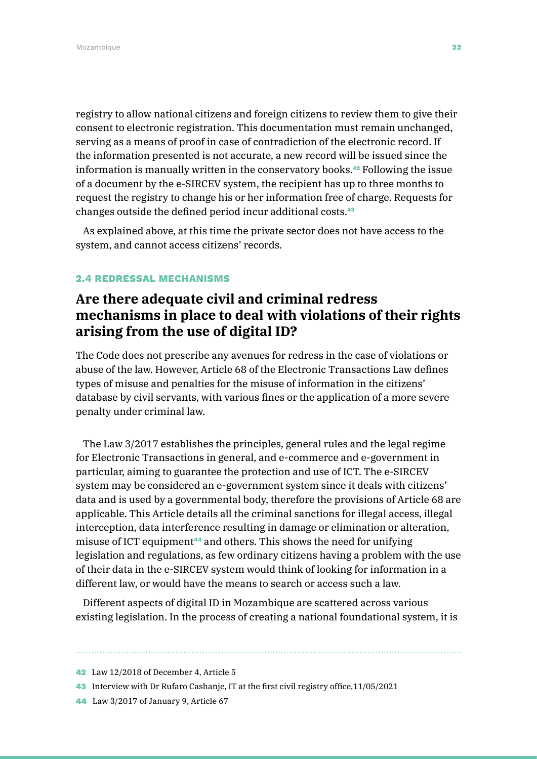registry to allow national citizens and foreign citizens to review them to give their consent to electronic registration. This documentation must remain unchanged, serving as a means of proof in case of contradiction of the electronic record. If the information presented is not accurate, a new record will be issued since the information is manually written in the conservatory books.42 Following the issue of a document by the e-SIRCEV system, the recipient has up to three months to request the registry to change his or her information free of charge. Requests for changes outside the defined period incur additional costs.<sup>43</sup>

As explained above, at this time the private sector does not have access to the system, and cannot access citizens' records.

#### 2.4 REDRESSAL MECHANISMS

# **Are there adequate civil and criminal redress mechanisms in place to deal with violations of their rights arising from the use of digital ID?**

The Code does not prescribe any avenues for redress in the case of violations or abuse of the law. However, Article 68 of the Electronic Transactions Law defines types of misuse and penalties for the misuse of information in the citizens' database by civil servants, with various fines or the application of a more severe penalty under criminal law.

The Law 3/2017 establishes the principles, general rules and the legal regime for Electronic Transactions in general, and e-commerce and e-government in particular, aiming to guarantee the protection and use of ICT. The e-SIRCEV system may be considered an e-government system since it deals with citizens' data and is used by a governmental body, therefore the provisions of Article 68 are applicable. This Article details all the criminal sanctions for illegal access, illegal interception, data interference resulting in damage or elimination or alteration, misuse of ICT equipment<sup>44</sup> and others. This shows the need for unifying legislation and regulations, as few ordinary citizens having a problem with the use of their data in the e-SIRCEV system would think of looking for information in a different law, or would have the means to search or access such a law.

Different aspects of digital ID in Mozambique are scattered across various existing legislation. In the process of creating a national foundational system, it is

<sup>42</sup> Law 12/2018 of December 4, Article 5

<sup>43</sup> Interview with Dr Rufaro Cashanje, IT at the first civil registry office, 11/05/2021

<sup>44</sup> Law 3/2017 of January 9, Article 67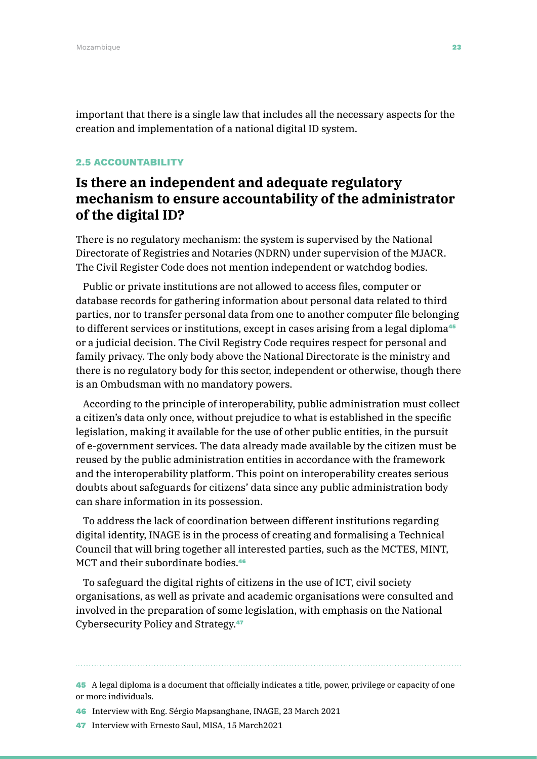important that there is a single law that includes all the necessary aspects for the creation and implementation of a national digital ID system.

#### 2.5 ACCOUNTABILITY

# **Is there an independent and adequate regulatory mechanism to ensure accountability of the administrator of the digital ID?**

There is no regulatory mechanism: the system is supervised by the National Directorate of Registries and Notaries (NDRN) under supervision of the MJACR. The Civil Register Code does not mention independent or watchdog bodies.

Public or private institutions are not allowed to access files, computer or database records for gathering information about personal data related to third parties, nor to transfer personal data from one to another computer file belonging to different services or institutions, except in cases arising from a legal diploma<sup>45</sup> or a judicial decision. The Civil Registry Code requires respect for personal and family privacy. The only body above the National Directorate is the ministry and there is no regulatory body for this sector, independent or otherwise, though there is an Ombudsman with no mandatory powers.

According to the principle of interoperability, public administration must collect a citizen's data only once, without prejudice to what is established in the specific legislation, making it available for the use of other public entities, in the pursuit of e-government services. The data already made available by the citizen must be reused by the public administration entities in accordance with the framework and the interoperability platform. This point on interoperability creates serious doubts about safeguards for citizens' data since any public administration body can share information in its possession.

To address the lack of coordination between different institutions regarding digital identity, INAGE is in the process of creating and formalising a Technical Council that will bring together all interested parties, such as the MCTES, MINT, MCT and their subordinate bodies<sup>46</sup>

To safeguard the digital rights of citizens in the use of ICT, civil society organisations, as well as private and academic organisations were consulted and involved in the preparation of some legislation, with emphasis on the National Cybersecurity Policy and Strategy.<sup>47</sup>

45 A legal diploma is a document that officially indicates a title, power, privilege or capacity of one or more individuals.

46 Interview with Eng. Sérgio Mapsanghane, INAGE, 23 March 2021

47 Interview with Ernesto Saul, MISA, 15 March2021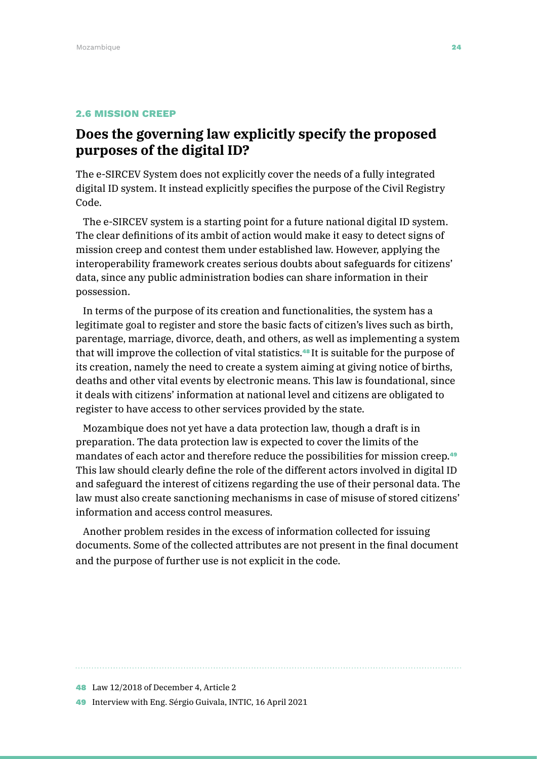#### 2.6 MISSION CREEP

## **Does the governing law explicitly specify the proposed purposes of the digital ID?**

The e-SIRCEV System does not explicitly cover the needs of a fully integrated digital ID system. It instead explicitly specifies the purpose of the Civil Registry Code.

The e-SIRCEV system is a starting point for a future national digital ID system. The clear definitions of its ambit of action would make it easy to detect signs of mission creep and contest them under established law. However, applying the interoperability framework creates serious doubts about safeguards for citizens' data, since any public administration bodies can share information in their possession.

In terms of the purpose of its creation and functionalities, the system has a legitimate goal to register and store the basic facts of citizen's lives such as birth, parentage, marriage, divorce, death, and others, as well as implementing a system that will improve the collection of vital statistics.<sup>48</sup> It is suitable for the purpose of its creation, namely the need to create a system aiming at giving notice of births, deaths and other vital events by electronic means. This law is foundational, since it deals with citizens' information at national level and citizens are obligated to register to have access to other services provided by the state.

Mozambique does not yet have a data protection law, though a draft is in preparation. The data protection law is expected to cover the limits of the mandates of each actor and therefore reduce the possibilities for mission creep.<sup>49</sup> This law should clearly define the role of the different actors involved in digital ID and safeguard the interest of citizens regarding the use of their personal data. The law must also create sanctioning mechanisms in case of misuse of stored citizens' information and access control measures.

Another problem resides in the excess of information collected for issuing documents. Some of the collected attributes are not present in the final document and the purpose of further use is not explicit in the code.

49 Interview with Eng. Sérgio Guivala, INTIC, 16 April 2021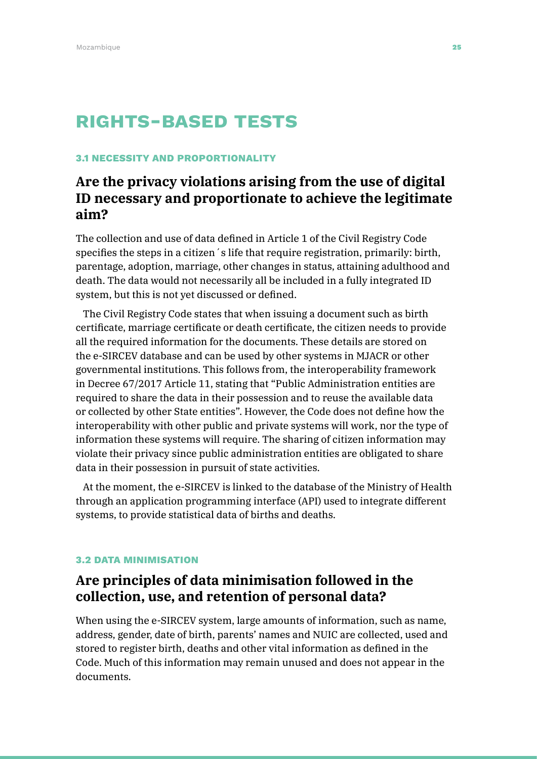# Rights-based tests

#### 3.1 NECESSITY AND PROPORTIONALITY

# **Are the privacy violations arising from the use of digital ID necessary and proportionate to achieve the legitimate aim?**

The collection and use of data defined in Article 1 of the Civil Registry Code specifies the steps in a citizen´s life that require registration, primarily: birth, parentage, adoption, marriage, other changes in status, attaining adulthood and death. The data would not necessarily all be included in a fully integrated ID system, but this is not yet discussed or defined.

The Civil Registry Code states that when issuing a document such as birth certificate, marriage certificate or death certificate, the citizen needs to provide all the required information for the documents. These details are stored on the e-SIRCEV database and can be used by other systems in MJACR or other governmental institutions. This follows from, the interoperability framework in Decree 67/2017 Article 11, stating that "Public Administration entities are required to share the data in their possession and to reuse the available data or collected by other State entities". However, the Code does not define how the interoperability with other public and private systems will work, nor the type of information these systems will require. The sharing of citizen information may violate their privacy since public administration entities are obligated to share data in their possession in pursuit of state activities.

At the moment, the e-SIRCEV is linked to the database of the Ministry of Health through an application programming interface (API) used to integrate different systems, to provide statistical data of births and deaths.

#### 3.2 DATA MINIMISATION

### **Are principles of data minimisation followed in the collection, use, and retention of personal data?**

When using the e-SIRCEV system, large amounts of information, such as name, address, gender, date of birth, parents' names and NUIC are collected, used and stored to register birth, deaths and other vital information as defined in the Code. Much of this information may remain unused and does not appear in the documents.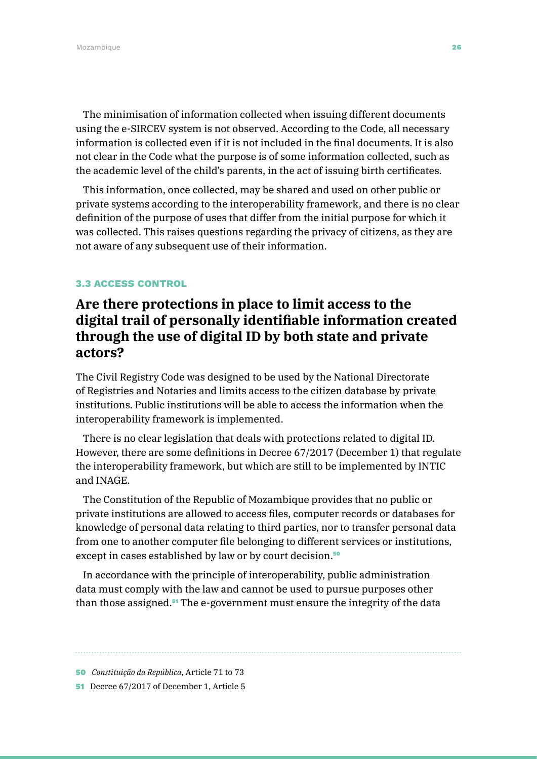The minimisation of information collected when issuing different documents using the e-SIRCEV system is not observed. According to the Code, all necessary information is collected even if it is not included in the final documents. It is also not clear in the Code what the purpose is of some information collected, such as the academic level of the child's parents, in the act of issuing birth certificates.

This information, once collected, may be shared and used on other public or private systems according to the interoperability framework, and there is no clear definition of the purpose of uses that differ from the initial purpose for which it was collected. This raises questions regarding the privacy of citizens, as they are not aware of any subsequent use of their information.

#### 3.3 ACCESS CONTROL

# **Are there protections in place to limit access to the digital trail of personally identifiable information created through the use of digital ID by both state and private actors?**

The Civil Registry Code was designed to be used by the National Directorate of Registries and Notaries and limits access to the citizen database by private institutions. Public institutions will be able to access the information when the interoperability framework is implemented.

There is no clear legislation that deals with protections related to digital ID. However, there are some definitions in Decree 67/2017 (December 1) that regulate the interoperability framework, but which are still to be implemented by INTIC and INAGE.

The Constitution of the Republic of Mozambique provides that no public or private institutions are allowed to access files, computer records or databases for knowledge of personal data relating to third parties, nor to transfer personal data from one to another computer file belonging to different services or institutions, except in cases established by law or by court decision.<sup>50</sup>

In accordance with the principle of interoperability, public administration data must comply with the law and cannot be used to pursue purposes other than those assigned.51 The e-government must ensure the integrity of the data

<sup>50</sup> *Constituição da República*, Article 71 to 73

<sup>51</sup> Decree 67/2017 of December 1, Article 5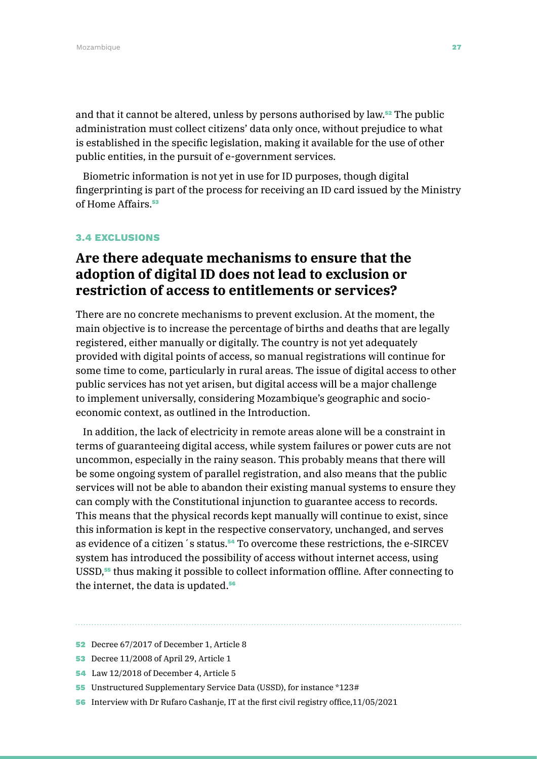and that it cannot be altered, unless by persons authorised by law.<sup>52</sup> The public administration must collect citizens' data only once, without prejudice to what is established in the specific legislation, making it available for the use of other public entities, in the pursuit of e-government services.

Biometric information is not yet in use for ID purposes, though digital fingerprinting is part of the process for receiving an ID card issued by the Ministry of Home Affairs.<sup>53</sup>

#### 3.4 EXCLUSIONS

### **Are there adequate mechanisms to ensure that the adoption of digital ID does not lead to exclusion or restriction of access to entitlements or services?**

There are no concrete mechanisms to prevent exclusion. At the moment, the main objective is to increase the percentage of births and deaths that are legally registered, either manually or digitally. The country is not yet adequately provided with digital points of access, so manual registrations will continue for some time to come, particularly in rural areas. The issue of digital access to other public services has not yet arisen, but digital access will be a major challenge to implement universally, considering Mozambique's geographic and socioeconomic context, as outlined in the Introduction.

In addition, the lack of electricity in remote areas alone will be a constraint in terms of guaranteeing digital access, while system failures or power cuts are not uncommon, especially in the rainy season. This probably means that there will be some ongoing system of parallel registration, and also means that the public services will not be able to abandon their existing manual systems to ensure they can comply with the Constitutional injunction to guarantee access to records. This means that the physical records kept manually will continue to exist, since this information is kept in the respective conservatory, unchanged, and serves as evidence of a citizen´s status.54 To overcome these restrictions, the e-SIRCEV system has introduced the possibility of access without internet access, using USSD,<sup>55</sup> thus making it possible to collect information offline. After connecting to the internet, the data is updated.<sup>56</sup>

55 Unstructured Supplementary Service Data (USSD), for instance \*123#

56 Interview with Dr Rufaro Cashanje, IT at the first civil registry office,11/05/2021

<sup>52</sup> Decree 67/2017 of December 1, Article 8

<sup>53</sup> Decree 11/2008 of April 29, Article 1

<sup>54</sup> Law 12/2018 of December 4, Article 5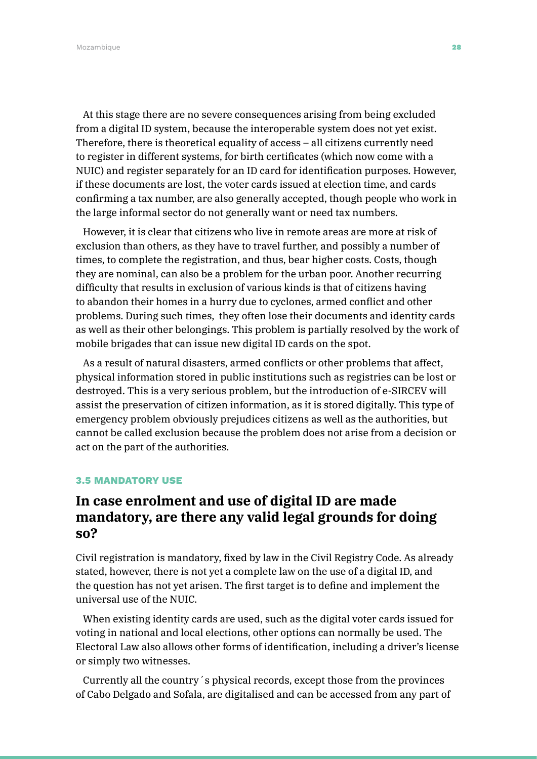Mozambique **28 anistes de la componentat de la componentat de la componentat de la componentat de la componenta** 

At this stage there are no severe consequences arising from being excluded from a digital ID system, because the interoperable system does not yet exist. Therefore, there is theoretical equality of access – all citizens currently need to register in different systems, for birth certificates (which now come with a NUIC) and register separately for an ID card for identification purposes. However, if these documents are lost, the voter cards issued at election time, and cards confirming a tax number, are also generally accepted, though people who work in the large informal sector do not generally want or need tax numbers.

However, it is clear that citizens who live in remote areas are more at risk of exclusion than others, as they have to travel further, and possibly a number of times, to complete the registration, and thus, bear higher costs. Costs, though they are nominal, can also be a problem for the urban poor. Another recurring difficulty that results in exclusion of various kinds is that of citizens having to abandon their homes in a hurry due to cyclones, armed conflict and other problems. During such times, they often lose their documents and identity cards as well as their other belongings. This problem is partially resolved by the work of mobile brigades that can issue new digital ID cards on the spot.

As a result of natural disasters, armed conflicts or other problems that affect, physical information stored in public institutions such as registries can be lost or destroyed. This is a very serious problem, but the introduction of e-SIRCEV will assist the preservation of citizen information, as it is stored digitally. This type of emergency problem obviously prejudices citizens as well as the authorities, but cannot be called exclusion because the problem does not arise from a decision or act on the part of the authorities.

#### 3.5 MANDATORY USE

## **In case enrolment and use of digital ID are made mandatory, are there any valid legal grounds for doing so?**

Civil registration is mandatory, fixed by law in the Civil Registry Code. As already stated, however, there is not yet a complete law on the use of a digital ID, and the question has not yet arisen. The first target is to define and implement the universal use of the NUIC.

When existing identity cards are used, such as the digital voter cards issued for voting in national and local elections, other options can normally be used. The Electoral Law also allows other forms of identification, including a driver's license or simply two witnesses.

Currently all the country´s physical records, except those from the provinces of Cabo Delgado and Sofala, are digitalised and can be accessed from any part of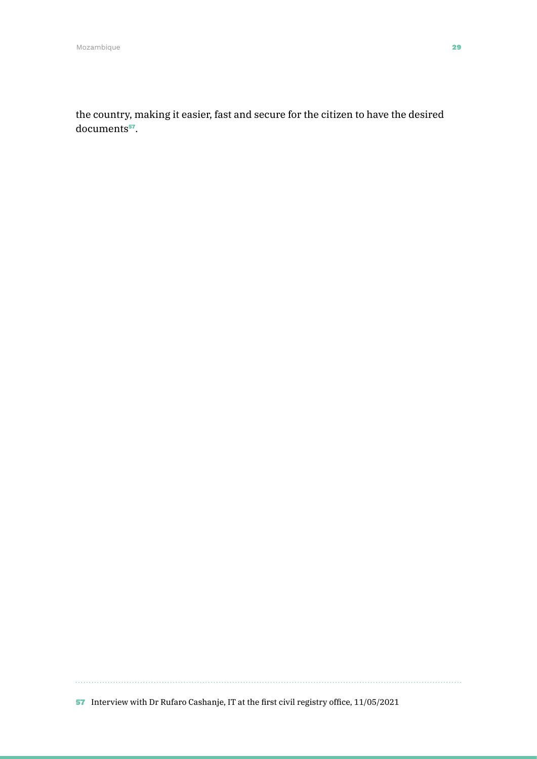the country, making it easier, fast and secure for the citizen to have the desired documents<sup>57</sup>.

57 Interview with Dr Rufaro Cashanje, IT at the first civil registry office, 11/05/2021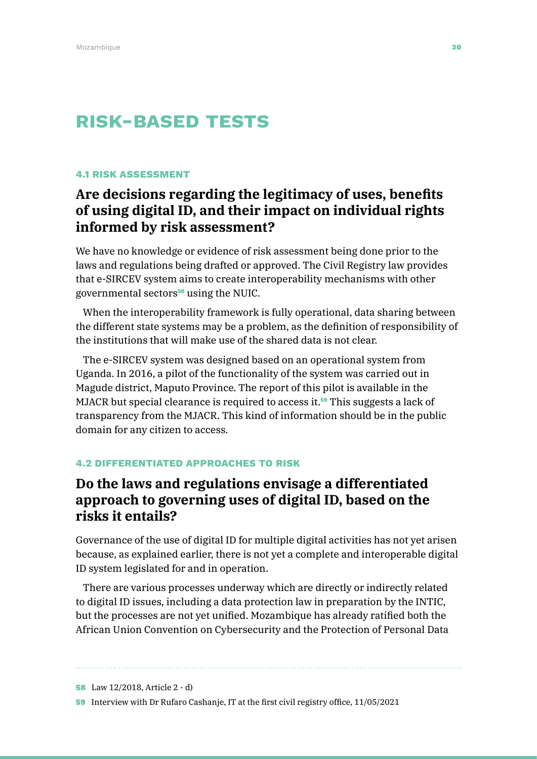# Risk-based tests

#### 4.1 RISK ASSESSMENT

# **Are decisions regarding the legitimacy of uses, benefits of using digital ID, and their impact on individual rights informed by risk assessment?**

We have no knowledge or evidence of risk assessment being done prior to the laws and regulations being drafted or approved. The Civil Registry law provides that e-SIRCEV system aims to create interoperability mechanisms with other governmental sectors<sup>58</sup> using the NUIC.

When the interoperability framework is fully operational, data sharing between the different state systems may be a problem, as the definition of responsibility of the institutions that will make use of the shared data is not clear.

The e-SIRCEV system was designed based on an operational system from Uganda. In 2016, a pilot of the functionality of the system was carried out in Magude district, Maputo Province. The report of this pilot is available in the MJACR but special clearance is required to access it.<sup>59</sup> This suggests a lack of transparency from the MJACR. This kind of information should be in the public domain for any citizen to access.

#### 4.2 DIFFERENTIATED APPROACHES TO RISK

### **Do the laws and regulations envisage a differentiated approach to governing uses of digital ID, based on the risks it entails?**

Governance of the use of digital ID for multiple digital activities has not yet arisen because, as explained earlier, there is not yet a complete and interoperable digital ID system legislated for and in operation.

There are various processes underway which are directly or indirectly related to digital ID issues, including a data protection law in preparation by the INTIC, but the processes are not yet unified. Mozambique has already ratified both the African Union Convention on Cybersecurity and the Protection of Personal Data

58 Law 12/2018, Article 2 - d)

59 Interview with Dr Rufaro Cashanje, IT at the first civil registry office, 11/05/2021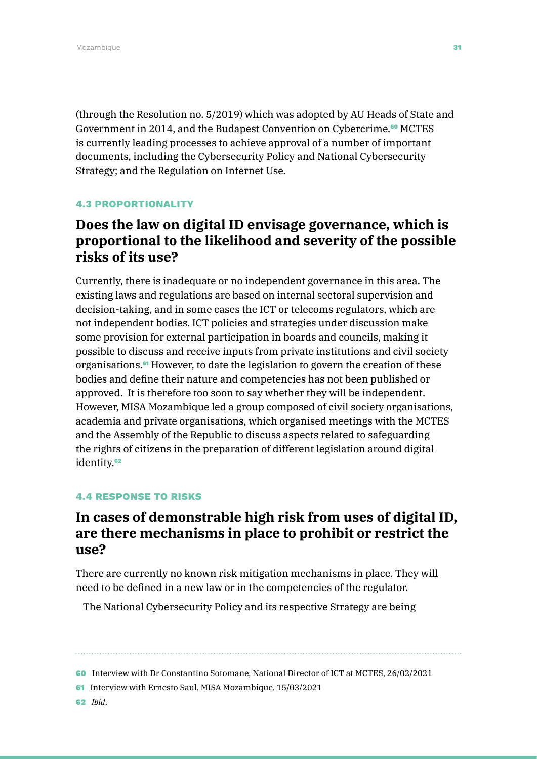(through the Resolution no. 5/2019) which was adopted by AU Heads of State and Government in 2014, and the Budapest Convention on Cybercrime.<sup>60</sup> MCTES is currently leading processes to achieve approval of a number of important documents, including the Cybersecurity Policy and National Cybersecurity Strategy; and the Regulation on Internet Use.

#### 4.3 PROPORTIONALITY

# **Does the law on digital ID envisage governance, which is proportional to the likelihood and severity of the possible risks of its use?**

Currently, there is inadequate or no independent governance in this area. The existing laws and regulations are based on internal sectoral supervision and decision-taking, and in some cases the ICT or telecoms regulators, which are not independent bodies. ICT policies and strategies under discussion make some provision for external participation in boards and councils, making it possible to discuss and receive inputs from private institutions and civil society organisations.<sup>61</sup> However, to date the legislation to govern the creation of these bodies and define their nature and competencies has not been published or approved. It is therefore too soon to say whether they will be independent. However, MISA Mozambique led a group composed of civil society organisations, academia and private organisations, which organised meetings with the MCTES and the Assembly of the Republic to discuss aspects related to safeguarding the rights of citizens in the preparation of different legislation around digital identity.<sup>62</sup>

#### 4.4 RESPONSE TO RISKS

### **In cases of demonstrable high risk from uses of digital ID, are there mechanisms in place to prohibit or restrict the use?**

There are currently no known risk mitigation mechanisms in place. They will need to be defined in a new law or in the competencies of the regulator.

The National Cybersecurity Policy and its respective Strategy are being

<sup>60</sup> Interview with Dr Constantino Sotomane, National Director of ICT at MCTES, 26/02/2021

<sup>61</sup> Interview with Ernesto Saul, MISA Mozambique, 15/03/2021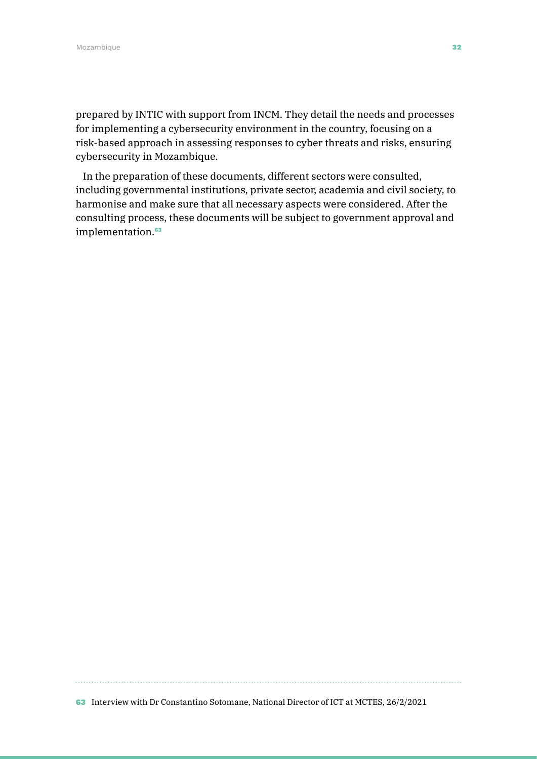prepared by INTIC with support from INCM. They detail the needs and processes for implementing a cybersecurity environment in the country, focusing on a risk-based approach in assessing responses to cyber threats and risks, ensuring cybersecurity in Mozambique.

In the preparation of these documents, different sectors were consulted, including governmental institutions, private sector, academia and civil society, to harmonise and make sure that all necessary aspects were considered. After the consulting process, these documents will be subject to government approval and implementation.<sup>63</sup>

63 Interview with Dr Constantino Sotomane, National Director of ICT at MCTES, 26/2/2021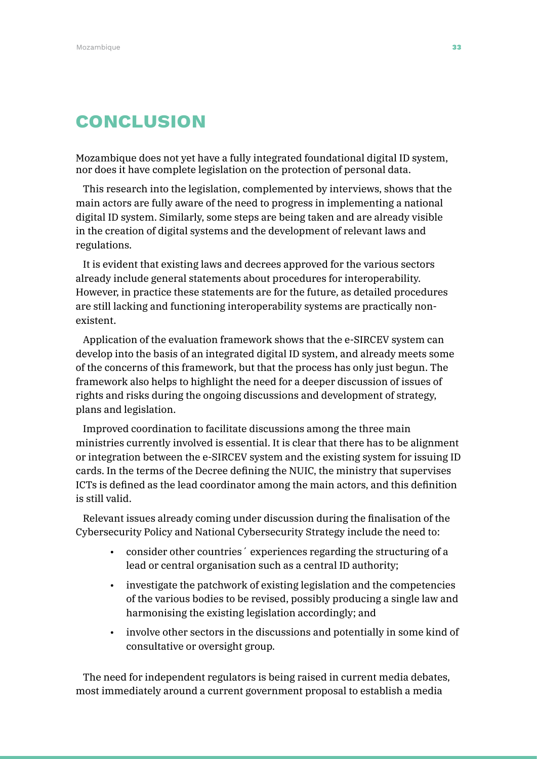# **CONCLUSION**

Mozambique does not yet have a fully integrated foundational digital ID system, nor does it have complete legislation on the protection of personal data.

This research into the legislation, complemented by interviews, shows that the main actors are fully aware of the need to progress in implementing a national digital ID system. Similarly, some steps are being taken and are already visible in the creation of digital systems and the development of relevant laws and regulations.

It is evident that existing laws and decrees approved for the various sectors already include general statements about procedures for interoperability. However, in practice these statements are for the future, as detailed procedures are still lacking and functioning interoperability systems are practically nonexistent.

Application of the evaluation framework shows that the e-SIRCEV system can develop into the basis of an integrated digital ID system, and already meets some of the concerns of this framework, but that the process has only just begun. The framework also helps to highlight the need for a deeper discussion of issues of rights and risks during the ongoing discussions and development of strategy, plans and legislation.

Improved coordination to facilitate discussions among the three main ministries currently involved is essential. It is clear that there has to be alignment or integration between the e-SIRCEV system and the existing system for issuing ID cards. In the terms of the Decree defining the NUIC, the ministry that supervises ICTs is defined as the lead coordinator among the main actors, and this definition is still valid.

Relevant issues already coming under discussion during the finalisation of the Cybersecurity Policy and National Cybersecurity Strategy include the need to:

- consider other countries´ experiences regarding the structuring of a lead or central organisation such as a central ID authority;
- investigate the patchwork of existing legislation and the competencies of the various bodies to be revised, possibly producing a single law and harmonising the existing legislation accordingly; and
- involve other sectors in the discussions and potentially in some kind of consultative or oversight group.

The need for independent regulators is being raised in current media debates, most immediately around a current government proposal to establish a media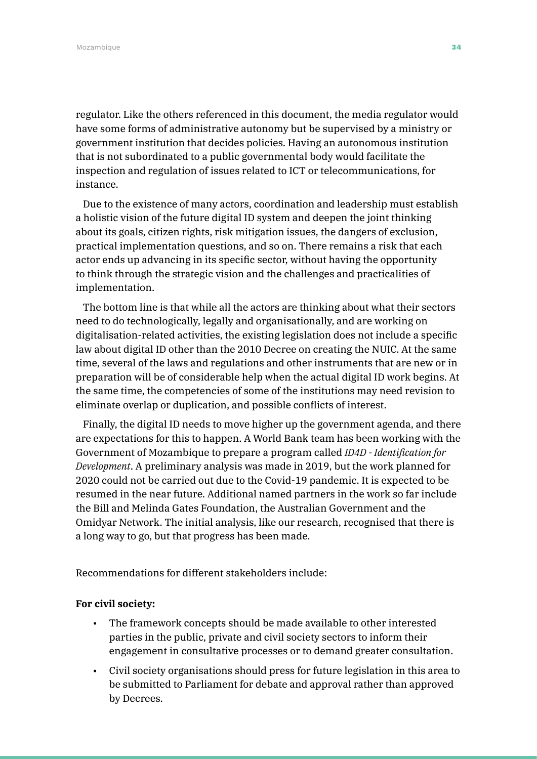Mozambique **34 °C anno 2010, a compositor de la compositor de la compositor de la compositor de la compositor de l** 

regulator. Like the others referenced in this document, the media regulator would have some forms of administrative autonomy but be supervised by a ministry or government institution that decides policies. Having an autonomous institution that is not subordinated to a public governmental body would facilitate the inspection and regulation of issues related to ICT or telecommunications, for instance.

Due to the existence of many actors, coordination and leadership must establish a holistic vision of the future digital ID system and deepen the joint thinking about its goals, citizen rights, risk mitigation issues, the dangers of exclusion, practical implementation questions, and so on. There remains a risk that each actor ends up advancing in its specific sector, without having the opportunity to think through the strategic vision and the challenges and practicalities of implementation.

The bottom line is that while all the actors are thinking about what their sectors need to do technologically, legally and organisationally, and are working on digitalisation-related activities, the existing legislation does not include a specific law about digital ID other than the 2010 Decree on creating the NUIC. At the same time, several of the laws and regulations and other instruments that are new or in preparation will be of considerable help when the actual digital ID work begins. At the same time, the competencies of some of the institutions may need revision to eliminate overlap or duplication, and possible conflicts of interest.

Finally, the digital ID needs to move higher up the government agenda, and there are expectations for this to happen. A World Bank team has been working with the Government of Mozambique to prepare a program called *ID4D - Identification for Development*. A preliminary analysis was made in 2019, but the work planned for 2020 could not be carried out due to the Covid-19 pandemic. It is expected to be resumed in the near future. Additional named partners in the work so far include the Bill and Melinda Gates Foundation, the Australian Government and the Omidyar Network. The initial analysis, like our research, recognised that there is a long way to go, but that progress has been made.

Recommendations for different stakeholders include:

#### **For civil society:**

- The framework concepts should be made available to other interested parties in the public, private and civil society sectors to inform their engagement in consultative processes or to demand greater consultation.
- Civil society organisations should press for future legislation in this area to be submitted to Parliament for debate and approval rather than approved by Decrees.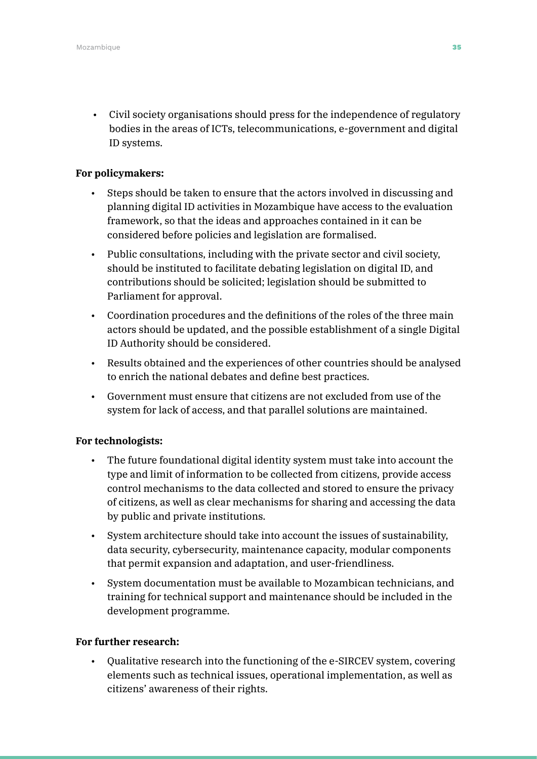• Civil society organisations should press for the independence of regulatory bodies in the areas of ICTs, telecommunications, e-government and digital ID systems.

#### **For policymakers:**

- Steps should be taken to ensure that the actors involved in discussing and planning digital ID activities in Mozambique have access to the evaluation framework, so that the ideas and approaches contained in it can be considered before policies and legislation are formalised.
- Public consultations, including with the private sector and civil society, should be instituted to facilitate debating legislation on digital ID, and contributions should be solicited; legislation should be submitted to Parliament for approval.
- Coordination procedures and the definitions of the roles of the three main actors should be updated, and the possible establishment of a single Digital ID Authority should be considered.
- Results obtained and the experiences of other countries should be analysed to enrich the national debates and define best practices.
- Government must ensure that citizens are not excluded from use of the system for lack of access, and that parallel solutions are maintained.

#### **For technologists:**

- The future foundational digital identity system must take into account the type and limit of information to be collected from citizens, provide access control mechanisms to the data collected and stored to ensure the privacy of citizens, as well as clear mechanisms for sharing and accessing the data by public and private institutions.
- System architecture should take into account the issues of sustainability, data security, cybersecurity, maintenance capacity, modular components that permit expansion and adaptation, and user-friendliness.
- System documentation must be available to Mozambican technicians, and training for technical support and maintenance should be included in the development programme.

#### **For further research:**

• Qualitative research into the functioning of the e-SIRCEV system, covering elements such as technical issues, operational implementation, as well as citizens' awareness of their rights.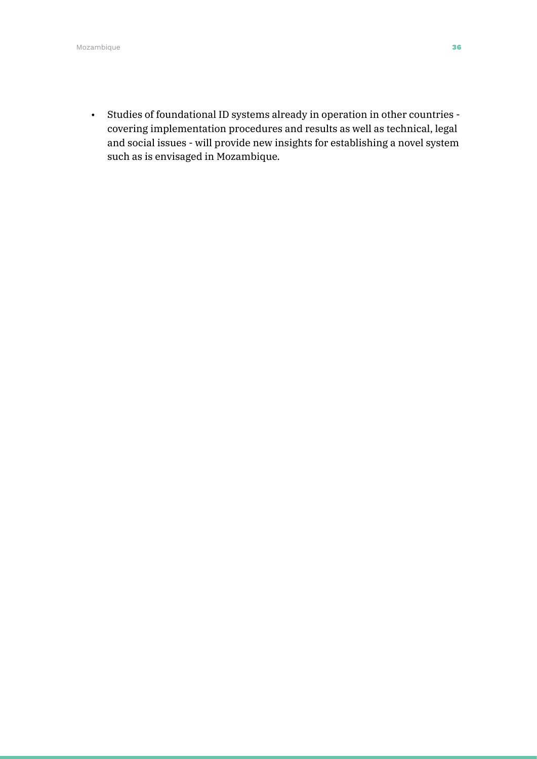• Studies of foundational ID systems already in operation in other countries covering implementation procedures and results as well as technical, legal and social issues - will provide new insights for establishing a novel system such as is envisaged in Mozambique.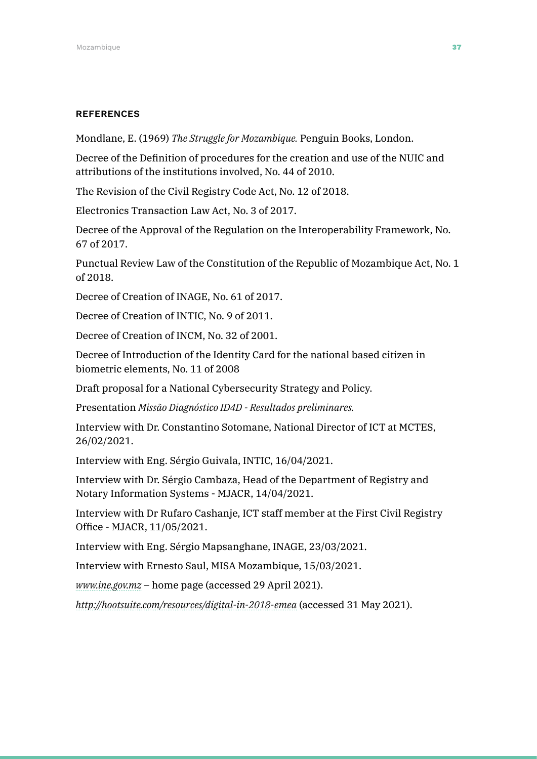#### **REFERENCES**

Mondlane, E. (1969) *The Struggle for Mozambique.* Penguin Books, London.

Decree of the Definition of procedures for the creation and use of the NUIC and attributions of the institutions involved, No. 44 of 2010.

The Revision of the Civil Registry Code Act, No. 12 of 2018.

Electronics Transaction Law Act, No. 3 of 2017.

Decree of the Approval of the Regulation on the Interoperability Framework, No. 67 of 2017.

Punctual Review Law of the Constitution of the Republic of Mozambique Act, No. 1 of 2018.

Decree of Creation of INAGE, No. 61 of 2017.

Decree of Creation of INTIC, No. 9 of 2011.

Decree of Creation of INCM, No. 32 of 2001.

Decree of Introduction of the Identity Card for the national based citizen in biometric elements, No. 11 of 2008

Draft proposal for a National Cybersecurity Strategy and Policy.

Presentation *Missão Diagnóstico ID4D - Resultados preliminares.*

Interview with Dr. Constantino Sotomane, National Director of ICT at MCTES, 26/02/2021.

Interview with Eng. Sérgio Guivala, INTIC, 16/04/2021.

Interview with Dr. Sérgio Cambaza, Head of the Department of Registry and Notary Information Systems - MJACR, 14/04/2021.

Interview with Dr Rufaro Cashanje, ICT staff member at the First Civil Registry Office - MJACR, 11/05/2021.

Interview with Eng. Sérgio Mapsanghane, INAGE, 23/03/2021.

Interview with Ernesto Saul, MISA Mozambique, 15/03/2021.

*[www.ine.gov.mz](http://www.ine.gov.mz)* – home page (accessed 29 April 2021).

*<http://hootsuite.com/resources/digital-in-2018-emea>* (accessed 31 May 2021).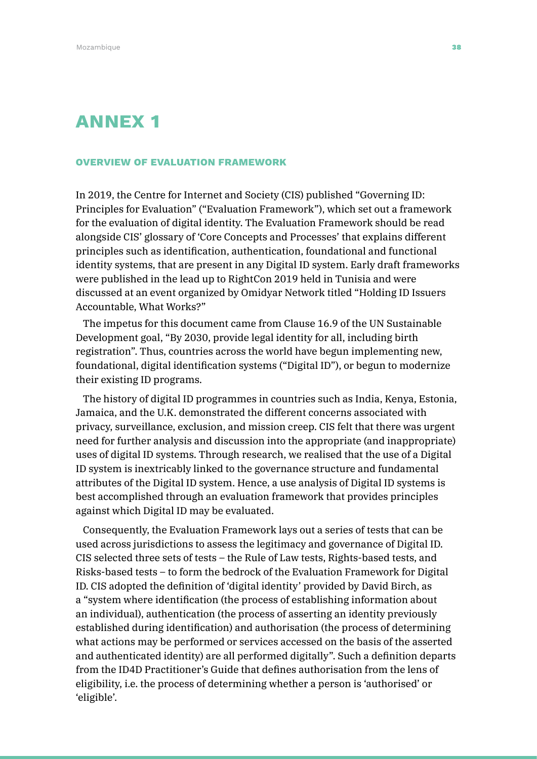# ANNEX 1

#### OVERVIEW OF EVALUATION FRAMEWORK

In 2019, the Centre for Internet and Society (CIS) published "Governing ID: Principles for Evaluation" ("Evaluation Framework"), which set out a framework for the evaluation of digital identity. The Evaluation Framework should be read alongside CIS' glossary of 'Core Concepts and Processes' that explains different principles such as identification, authentication, foundational and functional identity systems, that are present in any Digital ID system. Early draft frameworks were published in the lead up to RightCon 2019 held in Tunisia and were discussed at an event organized by Omidyar Network titled "Holding ID Issuers Accountable, What Works?"

The impetus for this document came from Clause 16.9 of the UN Sustainable Development goal, "By 2030, provide legal identity for all, including birth registration". Thus, countries across the world have begun implementing new, foundational, digital identification systems ("Digital ID"), or begun to modernize their existing ID programs.

The history of digital ID programmes in countries such as India, Kenya, Estonia, Jamaica, and the U.K. demonstrated the different concerns associated with privacy, surveillance, exclusion, and mission creep. CIS felt that there was urgent need for further analysis and discussion into the appropriate (and inappropriate) uses of digital ID systems. Through research, we realised that the use of a Digital ID system is inextricably linked to the governance structure and fundamental attributes of the Digital ID system. Hence, a use analysis of Digital ID systems is best accomplished through an evaluation framework that provides principles against which Digital ID may be evaluated.

Consequently, the Evaluation Framework lays out a series of tests that can be used across jurisdictions to assess the legitimacy and governance of Digital ID. CIS selected three sets of tests – the Rule of Law tests, Rights-based tests, and Risks-based tests – to form the bedrock of the Evaluation Framework for Digital ID. CIS adopted the definition of 'digital identity' provided by David Birch, as a "system where identification (the process of establishing information about an individual), authentication (the process of asserting an identity previously established during identification) and authorisation (the process of determining what actions may be performed or services accessed on the basis of the asserted and authenticated identity) are all performed digitally". Such a definition departs from the ID4D Practitioner's Guide that defines authorisation from the lens of eligibility, i.e. the process of determining whether a person is 'authorised' or 'eligible'.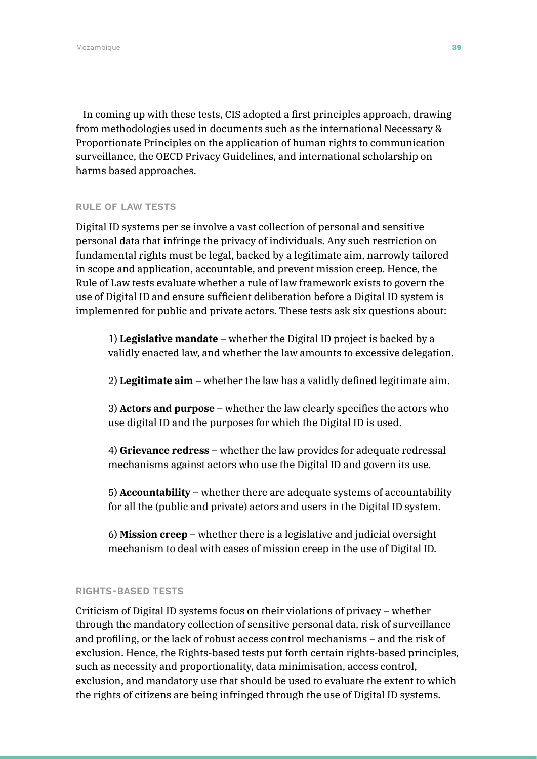In coming up with these tests, CIS adopted a first principles approach, drawing from methodologies used in documents such as the international Necessary & Proportionate Principles on the application of human rights to communication surveillance, the OECD Privacy Guidelines, and international scholarship on harms based approaches.

#### RULE OF LAW TESTS

Digital ID systems per se involve a vast collection of personal and sensitive personal data that infringe the privacy of individuals. Any such restriction on fundamental rights must be legal, backed by a legitimate aim, narrowly tailored in scope and application, accountable, and prevent mission creep. Hence, the Rule of Law tests evaluate whether a rule of law framework exists to govern the use of Digital ID and ensure sufficient deliberation before a Digital ID system is implemented for public and private actors. These tests ask six questions about:

1) **Legislative mandate** – whether the Digital ID project is backed by a validly enacted law, and whether the law amounts to excessive delegation.

2) **Legitimate aim** – whether the law has a validly defined legitimate aim.

3) **Actors and purpose** – whether the law clearly specifies the actors who use digital ID and the purposes for which the Digital ID is used.

4) **Grievance redress** – whether the law provides for adequate redressal mechanisms against actors who use the Digital ID and govern its use.

5) **Accountability** – whether there are adequate systems of accountability for all the (public and private) actors and users in the Digital ID system.

6) **Mission creep** – whether there is a legislative and judicial oversight mechanism to deal with cases of mission creep in the use of Digital ID.

#### RIGHTS-BASED TESTS

Criticism of Digital ID systems focus on their violations of privacy – whether through the mandatory collection of sensitive personal data, risk of surveillance and profiling, or the lack of robust access control mechanisms – and the risk of exclusion. Hence, the Rights-based tests put forth certain rights-based principles, such as necessity and proportionality, data minimisation, access control, exclusion, and mandatory use that should be used to evaluate the extent to which the rights of citizens are being infringed through the use of Digital ID systems.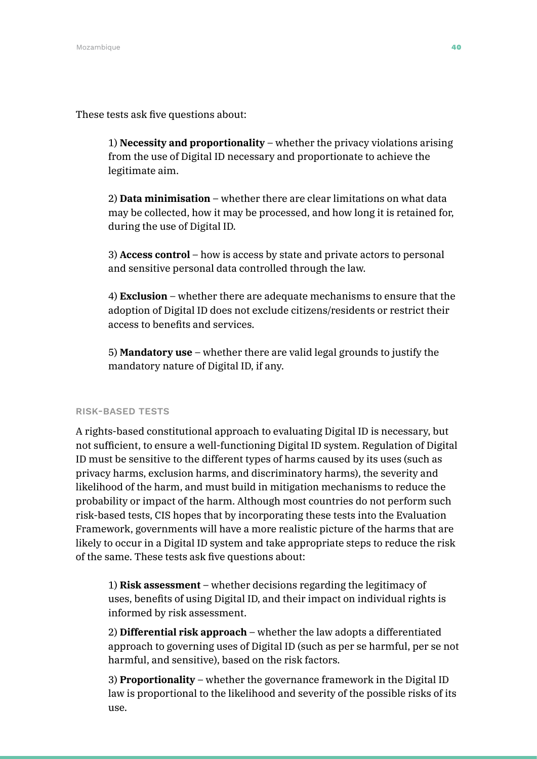These tests ask five questions about:

1) **Necessity and proportionality** – whether the privacy violations arising from the use of Digital ID necessary and proportionate to achieve the legitimate aim.

2) **Data minimisation** – whether there are clear limitations on what data may be collected, how it may be processed, and how long it is retained for, during the use of Digital ID.

3) **Access control** – how is access by state and private actors to personal and sensitive personal data controlled through the law.

4) **Exclusion** – whether there are adequate mechanisms to ensure that the adoption of Digital ID does not exclude citizens/residents or restrict their access to benefits and services.

5) **Mandatory use** – whether there are valid legal grounds to justify the mandatory nature of Digital ID, if any.

#### RISK-BASED TESTS

A rights-based constitutional approach to evaluating Digital ID is necessary, but not sufficient, to ensure a well-functioning Digital ID system. Regulation of Digital ID must be sensitive to the different types of harms caused by its uses (such as privacy harms, exclusion harms, and discriminatory harms), the severity and likelihood of the harm, and must build in mitigation mechanisms to reduce the probability or impact of the harm. Although most countries do not perform such risk-based tests, CIS hopes that by incorporating these tests into the Evaluation Framework, governments will have a more realistic picture of the harms that are likely to occur in a Digital ID system and take appropriate steps to reduce the risk of the same. These tests ask five questions about:

1) **Risk assessment** – whether decisions regarding the legitimacy of uses, benefits of using Digital ID, and their impact on individual rights is informed by risk assessment.

2) **Differential risk approach** – whether the law adopts a differentiated approach to governing uses of Digital ID (such as per se harmful, per se not harmful, and sensitive), based on the risk factors.

3) **Proportionality** – whether the governance framework in the Digital ID law is proportional to the likelihood and severity of the possible risks of its use.